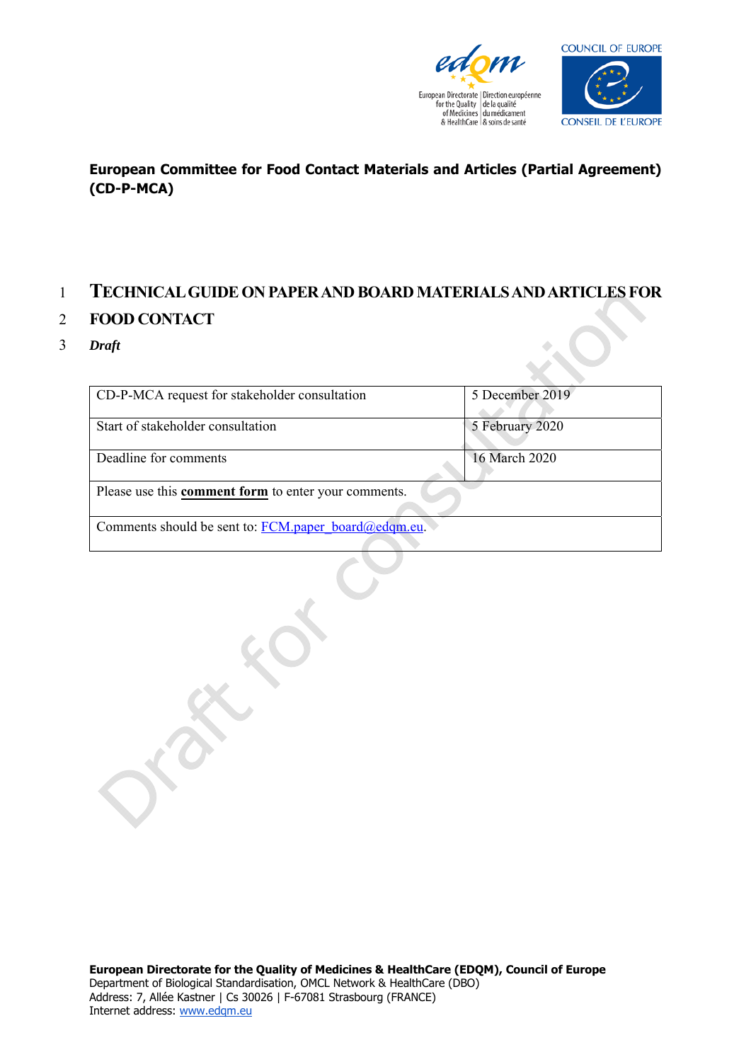



## **European Committee for Food Contact Materials and Articles (Partial Agreement) (CD-P-MCA)**

## 1 **TECHNICAL GUIDE ON PAPER AND BOARD MATERIALS AND ARTICLES FOR**

## 2 **FOOD CONTACT**

3 *Draft* 

| 5 December 2019                                      |  |  |  |  |  |  |  |
|------------------------------------------------------|--|--|--|--|--|--|--|
|                                                      |  |  |  |  |  |  |  |
| 5 February 2020                                      |  |  |  |  |  |  |  |
| 16 March 2020                                        |  |  |  |  |  |  |  |
| Please use this comment form to enter your comments. |  |  |  |  |  |  |  |
|                                                      |  |  |  |  |  |  |  |
| Comments should be sent to: FCM.paper board@edqm.eu. |  |  |  |  |  |  |  |
|                                                      |  |  |  |  |  |  |  |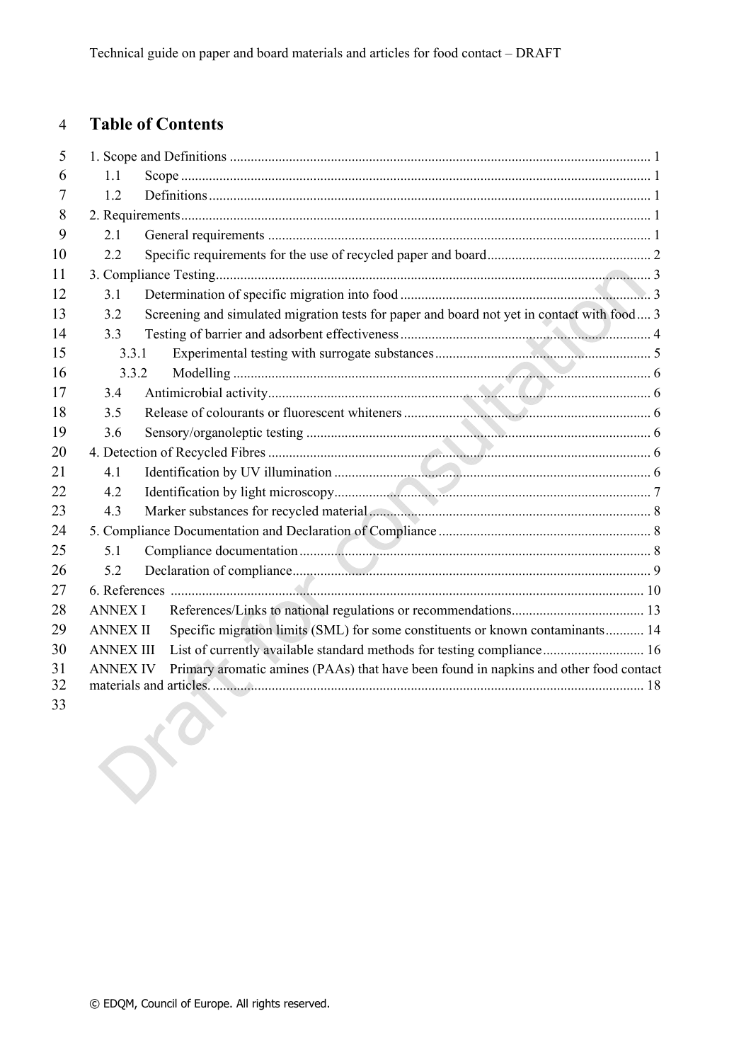## 4 **Table of Contents**

| 5        |                  |                                                                                            |
|----------|------------------|--------------------------------------------------------------------------------------------|
| 6        | 1.1              |                                                                                            |
| 7        | 1.2              |                                                                                            |
| 8        |                  |                                                                                            |
| 9        | 2.1              |                                                                                            |
| 10       | 2.2              |                                                                                            |
| 11       |                  |                                                                                            |
| 12       | 3.1              |                                                                                            |
| 13       | 3.2              | Screening and simulated migration tests for paper and board not yet in contact with food 3 |
| 14       | 3.3              |                                                                                            |
| 15       | 3.3.1            |                                                                                            |
| 16       | 3.3.2            |                                                                                            |
| 17       | 3.4              |                                                                                            |
| 18       | 3.5              |                                                                                            |
| 19       | 3.6              |                                                                                            |
| 20       |                  |                                                                                            |
| 21       | 4.1              |                                                                                            |
| 22       | 4.2              |                                                                                            |
| 23       | 4.3              |                                                                                            |
| 24       |                  |                                                                                            |
| 25       | 5.1              |                                                                                            |
| 26       | 5.2              |                                                                                            |
| 27       |                  |                                                                                            |
| 28       | <b>ANNEX I</b>   |                                                                                            |
| 29       | <b>ANNEX II</b>  | Specific migration limits (SML) for some constituents or known contaminants 14             |
| 30       | <b>ANNEX III</b> | List of currently available standard methods for testing compliance 16                     |
| 31<br>32 | <b>ANNEX IV</b>  | Primary aromatic amines (PAAs) that have been found in napkins and other food contact      |
| 33       |                  |                                                                                            |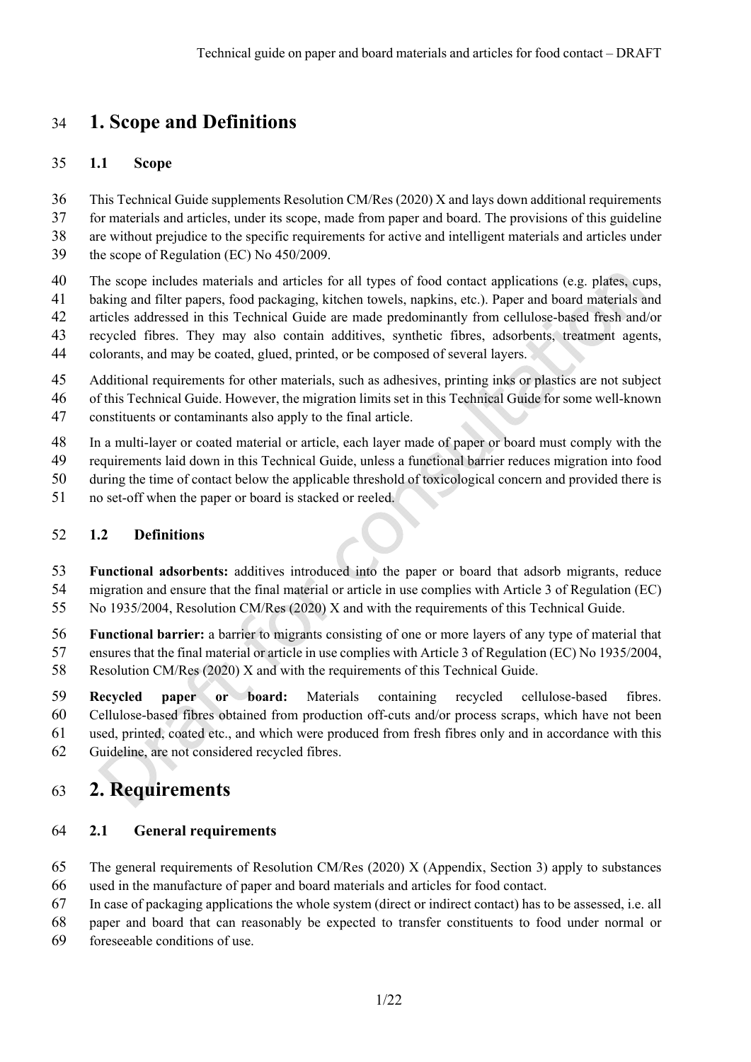## 34 **1. Scope and Definitions**

#### 35 **1.1 Scope**

36 This Technical Guide supplements Resolution CM/Res (2020) X and lays down additional requirements 37 for materials and articles, under its scope, made from paper and board. The provisions of this guideline 38 are without prejudice to the specific requirements for active and intelligent materials and articles under

39 the scope of Regulation (EC) No 450/2009.

40 The scope includes materials and articles for all types of food contact applications (e.g. plates, cups,

41 baking and filter papers, food packaging, kitchen towels, napkins, etc.). Paper and board materials and

42 articles addressed in this Technical Guide are made predominantly from cellulose-based fresh and/or

43 recycled fibres. They may also contain additives, synthetic fibres, adsorbents, treatment agents, 44 colorants, and may be coated, glued, printed, or be composed of several layers.

45 Additional requirements for other materials, such as adhesives, printing inks or plastics are not subject 46 of this Technical Guide. However, the migration limits set in this Technical Guide for some well-known

47 constituents or contaminants also apply to the final article.

48 In a multi-layer or coated material or article, each layer made of paper or board must comply with the

- 49 requirements laid down in this Technical Guide, unless a functional barrier reduces migration into food
- 50 during the time of contact below the applicable threshold of toxicological concern and provided there is
- 51 no set-off when the paper or board is stacked or reeled.

### 52 **1.2 Definitions**

53 **Functional adsorbents:** additives introduced into the paper or board that adsorb migrants, reduce 54 migration and ensure that the final material or article in use complies with Article 3 of Regulation (EC) 55 No 1935/2004, Resolution CM/Res (2020) X and with the requirements of this Technical Guide.

56 **Functional barrier:** a barrier to migrants consisting of one or more layers of any type of material that 57 ensures that the final material or article in use complies with Article 3 of Regulation (EC) No 1935/2004, 58 Resolution CM/Res (2020) X and with the requirements of this Technical Guide.

59 **Recycled paper or board:** Materials containing recycled cellulose-based fibres. 60 Cellulose-based fibres obtained from production off-cuts and/or process scraps, which have not been 61 used, printed, coated etc., and which were produced from fresh fibres only and in accordance with this 62 Guideline, are not considered recycled fibres.

## 63 **2. Requirements**

## 64 **2.1 General requirements**

65 The general requirements of Resolution CM/Res (2020) X (Appendix, Section 3) apply to substances 66 used in the manufacture of paper and board materials and articles for food contact.

67 In case of packaging applications the whole system (direct or indirect contact) has to be assessed, i.e. all

68 paper and board that can reasonably be expected to transfer constituents to food under normal or

69 foreseeable conditions of use.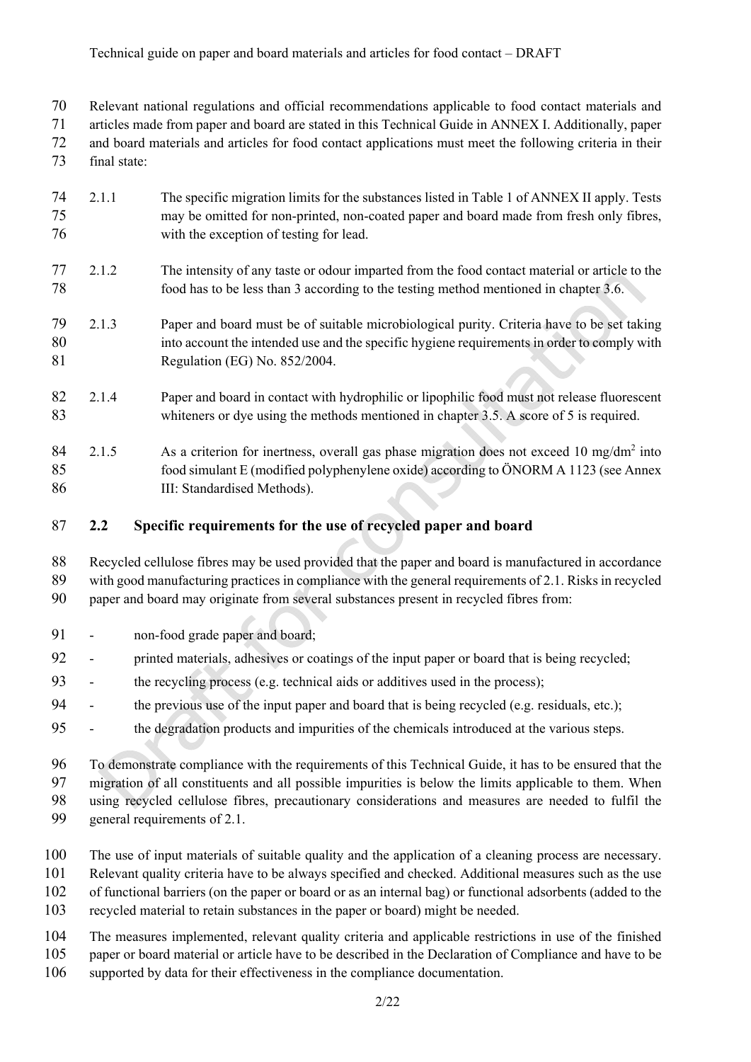70 Relevant national regulations and official recommendations applicable to food contact materials and

71 articles made from paper and board are stated in this Technical Guide in ANNEX I. Additionally, paper 72 and board materials and articles for food contact applications must meet the following criteria in their

73 final state:

- 74 2.1.1 The specific migration limits for the substances listed in Table 1 of ANNEX II apply. Tests 75 may be omitted for non-printed, non-coated paper and board made from fresh only fibres, 76 with the exception of testing for lead.
- 77 2.1.2 The intensity of any taste or odour imparted from the food contact material or article to the 78 food has to be less than 3 according to the testing method mentioned in chapter 3.6.
- 79 2.1.3 Paper and board must be of suitable microbiological purity. Criteria have to be set taking 80 into account the intended use and the specific hygiene requirements in order to comply with 81 Regulation (EG) No. 852/2004.
- 82 2.1.4 Paper and board in contact with hydrophilic or lipophilic food must not release fluorescent 83 whiteners or dye using the methods mentioned in chapter 3.5. A score of 5 is required.

 $84$  2.1.5 As a criterion for inertness, overall gas phase migration does not exceed 10 mg/dm<sup>2</sup> into 85 food simulant E (modified polyphenylene oxide) according to ÖNORM A 1123 (see Annex 86 III: Standardised Methods).

- 87 **2.2 Specific requirements for the use of recycled paper and board**
- 88 Recycled cellulose fibres may be used provided that the paper and board is manufactured in accordance 89 with good manufacturing practices in compliance with the general requirements of 2.1. Risks in recycled 90 paper and board may originate from several substances present in recycled fibres from:
- 91 non-food grade paper and board;
- 92 printed materials, adhesives or coatings of the input paper or board that is being recycled;
- 93 the recycling process (e.g. technical aids or additives used in the process);
- 94 the previous use of the input paper and board that is being recycled (e.g. residuals, etc.);
- 95 the degradation products and impurities of the chemicals introduced at the various steps.

96 To demonstrate compliance with the requirements of this Technical Guide, it has to be ensured that the 97 migration of all constituents and all possible impurities is below the limits applicable to them. When 98 using recycled cellulose fibres, precautionary considerations and measures are needed to fulfil the

- 99 general requirements of 2.1.
- 100 The use of input materials of suitable quality and the application of a cleaning process are necessary.
- 101 Relevant quality criteria have to be always specified and checked. Additional measures such as the use
- 102 of functional barriers (on the paper or board or as an internal bag) or functional adsorbents (added to the
- 103 recycled material to retain substances in the paper or board) might be needed.
- 104 The measures implemented, relevant quality criteria and applicable restrictions in use of the finished 105 paper or board material or article have to be described in the Declaration of Compliance and have to be
- 106 supported by data for their effectiveness in the compliance documentation.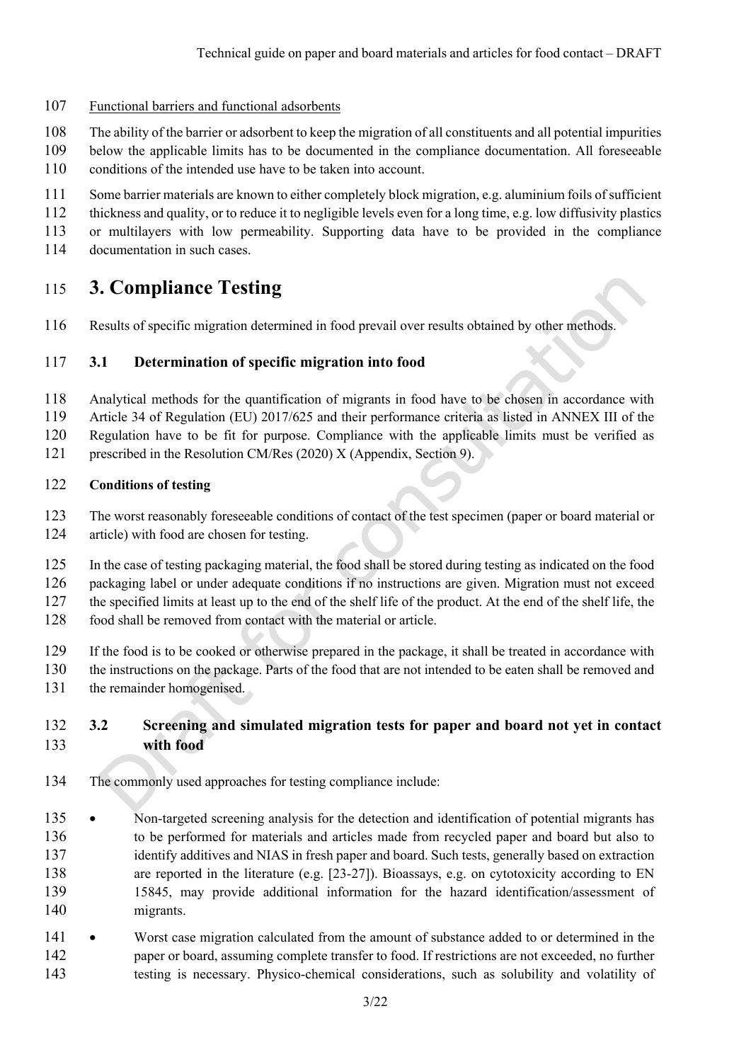- 107 Functional barriers and functional adsorbents
- 108 The ability of the barrier or adsorbent to keep the migration of all constituents and all potential impurities
- 109 below the applicable limits has to be documented in the compliance documentation. All foreseeable
- 110 conditions of the intended use have to be taken into account.
- 111 Some barrier materials are known to either completely block migration, e.g. aluminium foils of sufficient
- 112 thickness and quality, or to reduce it to negligible levels even for a long time, e.g. low diffusivity plastics
- 113 or multilayers with low permeability. Supporting data have to be provided in the compliance
- 114 documentation in such cases.

## 115 **3. Compliance Testing**

116 Results of specific migration determined in food prevail over results obtained by other methods.

### 117 **3.1 Determination of specific migration into food**

- 118 Analytical methods for the quantification of migrants in food have to be chosen in accordance with
- 119 Article 34 of Regulation (EU) 2017/625 and their performance criteria as listed in ANNEX III of the
- 120 Regulation have to be fit for purpose. Compliance with the applicable limits must be verified as
- 121 prescribed in the Resolution CM/Res (2020) X (Appendix, Section 9).

### 122 **Conditions of testing**

- 123 The worst reasonably foreseeable conditions of contact of the test specimen (paper or board material or 124 article) with food are chosen for testing.
- 125 In the case of testing packaging material, the food shall be stored during testing as indicated on the food 126 packaging label or under adequate conditions if no instructions are given. Migration must not exceed 127 the specified limits at least up to the end of the shelf life of the product. At the end of the shelf life, the
- 128 food shall be removed from contact with the material or article.
- 129 If the food is to be cooked or otherwise prepared in the package, it shall be treated in accordance with
- 130 the instructions on the package. Parts of the food that are not intended to be eaten shall be removed and
- 131 the remainder homogenised.

## 132 **3.2 Screening and simulated migration tests for paper and board not yet in contact**  133 **with food**

- 134 The commonly used approaches for testing compliance include:
- 135 Non-targeted screening analysis for the detection and identification of potential migrants has 136 to be performed for materials and articles made from recycled paper and board but also to 137 identify additives and NIAS in fresh paper and board. Such tests, generally based on extraction 138 are reported in the literature (e.g. [23-27]). Bioassays, e.g. on cytotoxicity according to EN 139 15845, may provide additional information for the hazard identification/assessment of 140 migrants.
- 141 Worst case migration calculated from the amount of substance added to or determined in the 142 paper or board, assuming complete transfer to food. If restrictions are not exceeded, no further 143 testing is necessary. Physico-chemical considerations, such as solubility and volatility of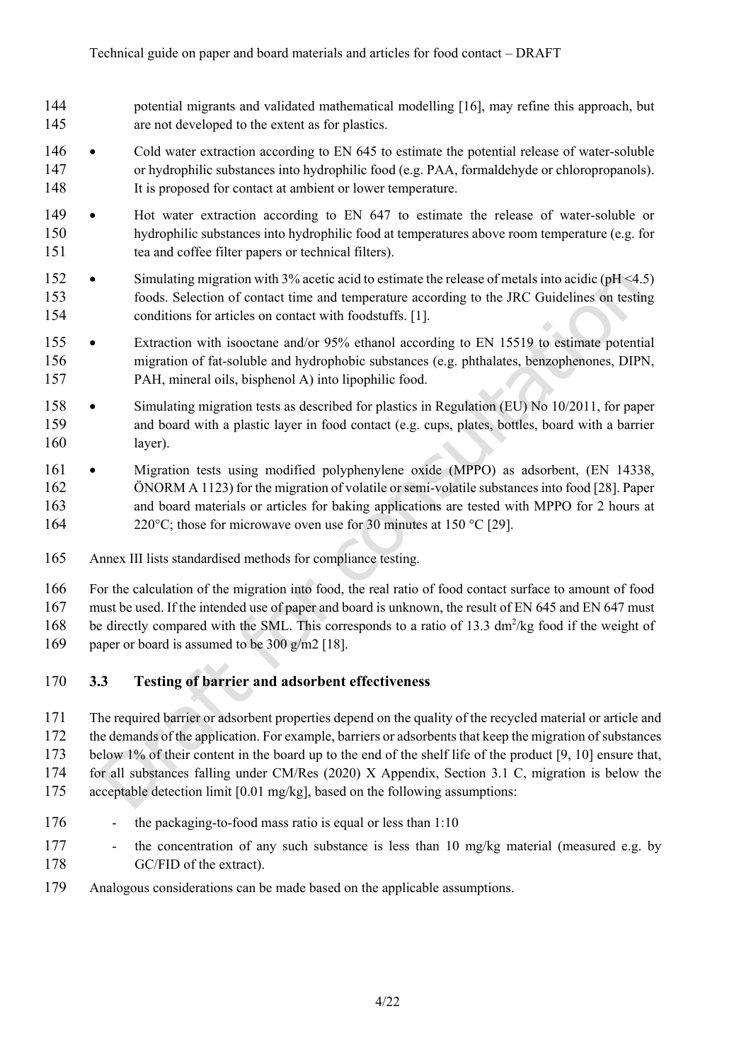- 144 potential migrants and validated mathematical modelling [16], may refine this approach, but 145 are not developed to the extent as for plastics.
- 146 Cold water extraction according to EN 645 to estimate the potential release of water-soluble 147 or hydrophilic substances into hydrophilic food (e.g. PAA, formaldehyde or chloropropanols). 148 It is proposed for contact at ambient or lower temperature.
- 149 Hot water extraction according to EN 647 to estimate the release of water-soluble or 150 hydrophilic substances into hydrophilic food at temperatures above room temperature (e.g. for 151 tea and coffee filter papers or technical filters).
- 152 Simulating migration with 3% acetic acid to estimate the release of metals into acidic (pH <4.5) 153 foods. Selection of contact time and temperature according to the JRC Guidelines on testing 154 conditions for articles on contact with foodstuffs. [1].
- 155 Extraction with isooctane and/or 95% ethanol according to EN 15519 to estimate potential 156 migration of fat-soluble and hydrophobic substances (e.g. phthalates, benzophenones, DIPN, 157 PAH, mineral oils, bisphenol A) into lipophilic food.
- 158 Simulating migration tests as described for plastics in Regulation (EU) No 10/2011, for paper 159 and board with a plastic layer in food contact (e.g. cups, plates, bottles, board with a barrier 160 layer).
- 161 Migration tests using modified polyphenylene oxide (MPPO) as adsorbent, (EN 14338, 162 ÖNORM A 1123) for the migration of volatile or semi-volatile substances into food [28]. Paper 163 and board materials or articles for baking applications are tested with MPPO for 2 hours at 164 220°C; those for microwave oven use for 30 minutes at 150 °C [29].
- 165 Annex III lists standardised methods for compliance testing.
- 166 For the calculation of the migration into food, the real ratio of food contact surface to amount of food
- 167 must be used. If the intended use of paper and board is unknown, the result of EN 645 and EN 647 must
- 168 be directly compared with the SML. This corresponds to a ratio of 13.3 dm<sup>2</sup>/kg food if the weight of
- 169 paper or board is assumed to be 300 g/m2 [18].

## 170 **3.3 Testing of barrier and adsorbent effectiveness**

- 171 The required barrier or adsorbent properties depend on the quality of the recycled material or article and 172 the demands of the application. For example, barriers or adsorbents that keep the migration of substances 173 below 1% of their content in the board up to the end of the shelf life of the product [9, 10] ensure that, 174 for all substances falling under CM/Res (2020) X Appendix, Section 3.1 C, migration is below the 175 acceptable detection limit [0.01 mg/kg], based on the following assumptions:
- 176 the packaging-to-food mass ratio is equal or less than 1:10
- 177 the concentration of any such substance is less than 10 mg/kg material (measured e.g. by 178 GC/FID of the extract).
- 179 Analogous considerations can be made based on the applicable assumptions.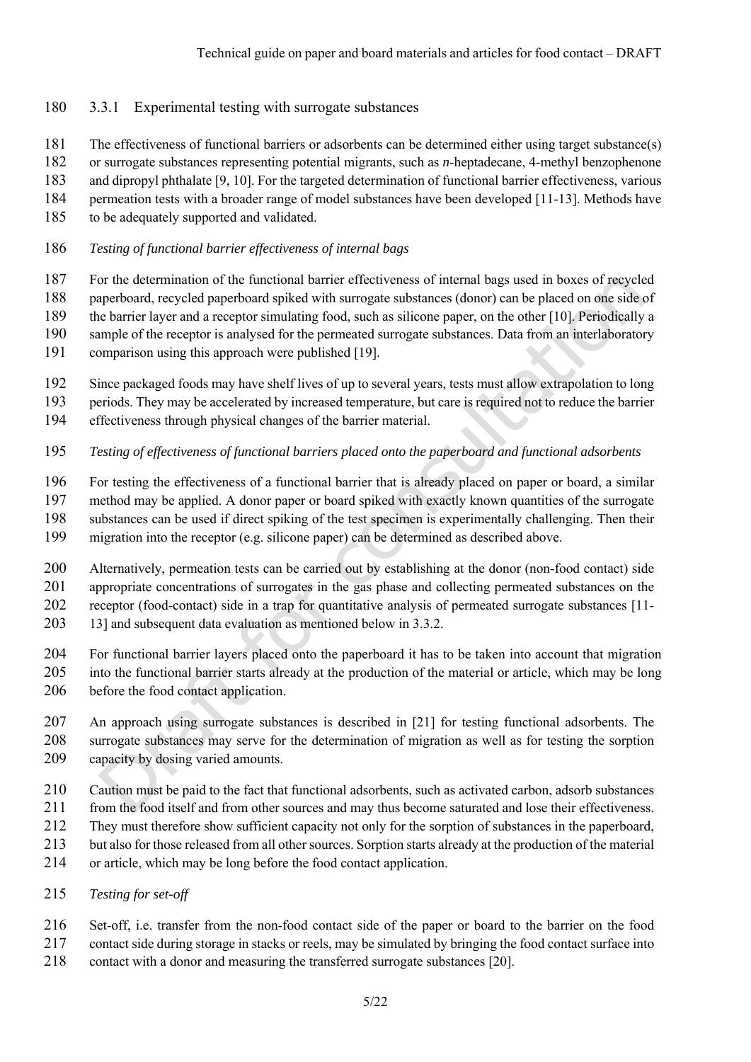- 180 3.3.1 Experimental testing with surrogate substances
- 181 The effectiveness of functional barriers or adsorbents can be determined either using target substance(s)
- 182 or surrogate substances representing potential migrants, such as *n*-heptadecane, 4-methyl benzophenone
- 183 and dipropyl phthalate [9, 10]. For the targeted determination of functional barrier effectiveness, various
- 184 permeation tests with a broader range of model substances have been developed [11-13]. Methods have
- 185 to be adequately supported and validated.
- 186 *Testing of functional barrier effectiveness of internal bags*
- 187 For the determination of the functional barrier effectiveness of internal bags used in boxes of recycled
- 188 paperboard, recycled paperboard spiked with surrogate substances (donor) can be placed on one side of
- 189 the barrier layer and a receptor simulating food, such as silicone paper, on the other [10]. Periodically a
- 190 sample of the receptor is analysed for the permeated surrogate substances. Data from an interlaboratory
- 191 comparison using this approach were published [19].
- 192 Since packaged foods may have shelf lives of up to several years, tests must allow extrapolation to long
- 193 periods. They may be accelerated by increased temperature, but care is required not to reduce the barrier
- 194 effectiveness through physical changes of the barrier material.
- 195 *Testing of effectiveness of functional barriers placed onto the paperboard and functional adsorbents*
- 196 For testing the effectiveness of a functional barrier that is already placed on paper or board, a similar
- 197 method may be applied. A donor paper or board spiked with exactly known quantities of the surrogate
- 198 substances can be used if direct spiking of the test specimen is experimentally challenging. Then their
- 199 migration into the receptor (e.g. silicone paper) can be determined as described above.
- 200 Alternatively, permeation tests can be carried out by establishing at the donor (non-food contact) side 201 appropriate concentrations of surrogates in the gas phase and collecting permeated substances on the 202 receptor (food-contact) side in a trap for quantitative analysis of permeated surrogate substances [11-
- 203 13] and subsequent data evaluation as mentioned below in 3.3.2.
- 204 For functional barrier layers placed onto the paperboard it has to be taken into account that migration 205 into the functional barrier starts already at the production of the material or article, which may be long 206 before the food contact application.
- 207 An approach using surrogate substances is described in [21] for testing functional adsorbents. The 208 surrogate substances may serve for the determination of migration as well as for testing the sorption 209 capacity by dosing varied amounts.
- 210 Caution must be paid to the fact that functional adsorbents, such as activated carbon, adsorb substances
- 211 from the food itself and from other sources and may thus become saturated and lose their effectiveness.
- 212 They must therefore show sufficient capacity not only for the sorption of substances in the paperboard,
- 213 but also for those released from all other sources. Sorption starts already at the production of the material
- 214 or article, which may be long before the food contact application.
- 215 *Testing for set-off*
- 216 Set-off, i.e. transfer from the non-food contact side of the paper or board to the barrier on the food
- 217 contact side during storage in stacks or reels, may be simulated by bringing the food contact surface into
- 218 contact with a donor and measuring the transferred surrogate substances [20].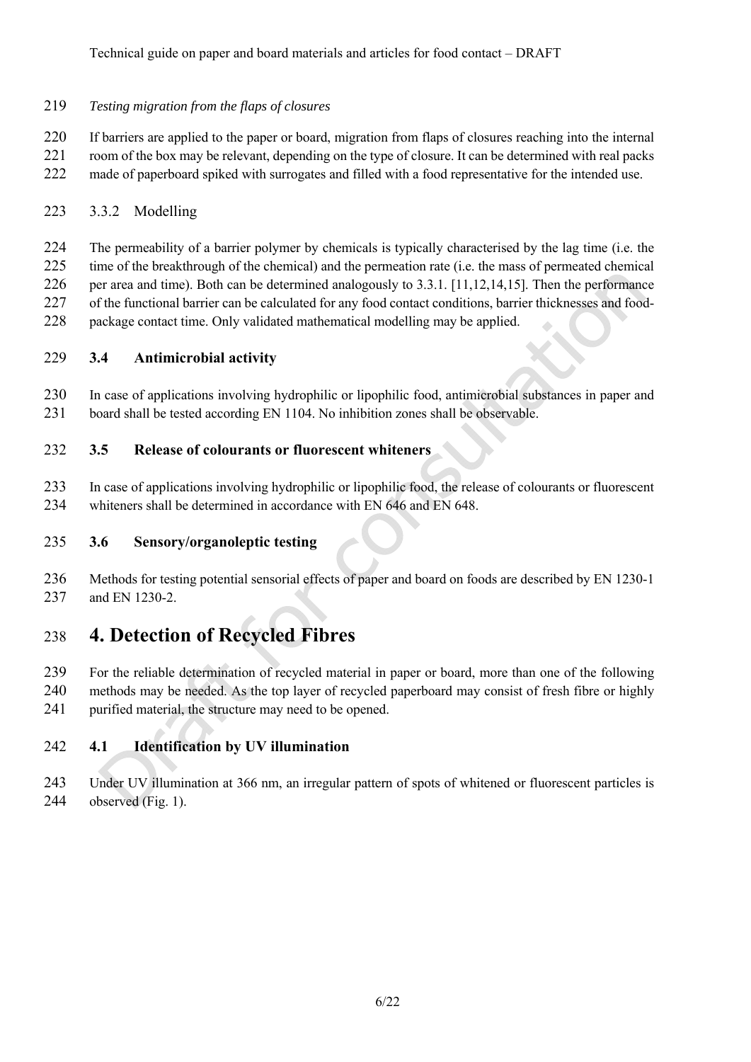Technical guide on paper and board materials and articles for food contact – DRAFT

### 219 *Testing migration from the flaps of closures*

220 If barriers are applied to the paper or board, migration from flaps of closures reaching into the internal 221 room of the box may be relevant, depending on the type of closure. It can be determined with real packs

222 made of paperboard spiked with surrogates and filled with a food representative for the intended use.

## 223 3.3.2 Modelling

224 The permeability of a barrier polymer by chemicals is typically characterised by the lag time (i.e. the

225 time of the breakthrough of the chemical) and the permeation rate (i.e. the mass of permeated chemical 226 per area and time). Both can be determined analogously to 3.3.1. [11,12,14,15]. Then the performance

227 of the functional barrier can be calculated for any food contact conditions, barrier thicknesses and food-

228 package contact time. Only validated mathematical modelling may be applied.

## 229 **3.4 Antimicrobial activity**

230 In case of applications involving hydrophilic or lipophilic food, antimicrobial substances in paper and

231 board shall be tested according EN 1104. No inhibition zones shall be observable.

## 232 **3.5 Release of colourants or fluorescent whiteners**

- 233 In case of applications involving hydrophilic or lipophilic food, the release of colourants or fluorescent 234 whiteners shall be determined in accordance with EN 646 and EN 648.
- 

## 235 **3.6 Sensory/organoleptic testing**

236 Methods for testing potential sensorial effects of paper and board on foods are described by EN 1230-1 237 and EN 1230-2.

# 238 **4. Detection of Recycled Fibres**

239 For the reliable determination of recycled material in paper or board, more than one of the following 240 methods may be needed. As the top layer of recycled paperboard may consist of fresh fibre or highly 241 purified material, the structure may need to be opened.

## 242 **4.1 Identification by UV illumination**

243 Under UV illumination at 366 nm, an irregular pattern of spots of whitened or fluorescent particles is 244 observed (Fig. 1).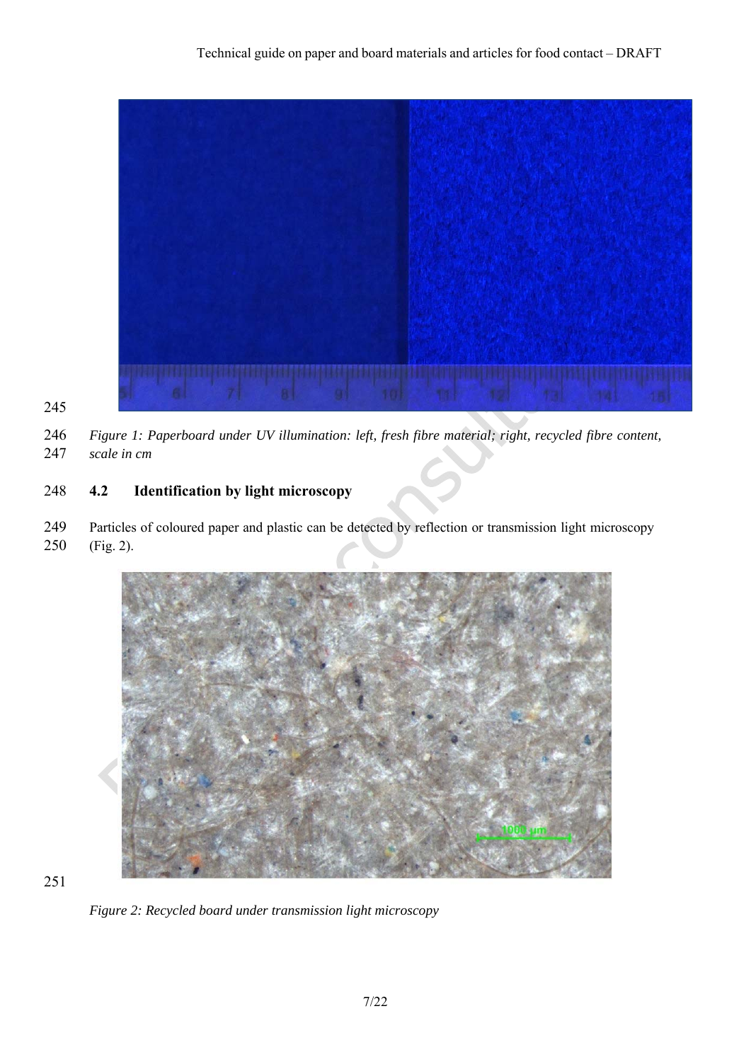

245

246 *Figure 1: Paperboard under UV illumination: left, fresh fibre material; right, recycled fibre content,*  247 *scale in cm*

## 248 **4.2 Identification by light microscopy**

249 Particles of coloured paper and plastic can be detected by reflection or transmission light microscopy 250 (Fig. 2).



251

*Figure 2: Recycled board under transmission light microscopy*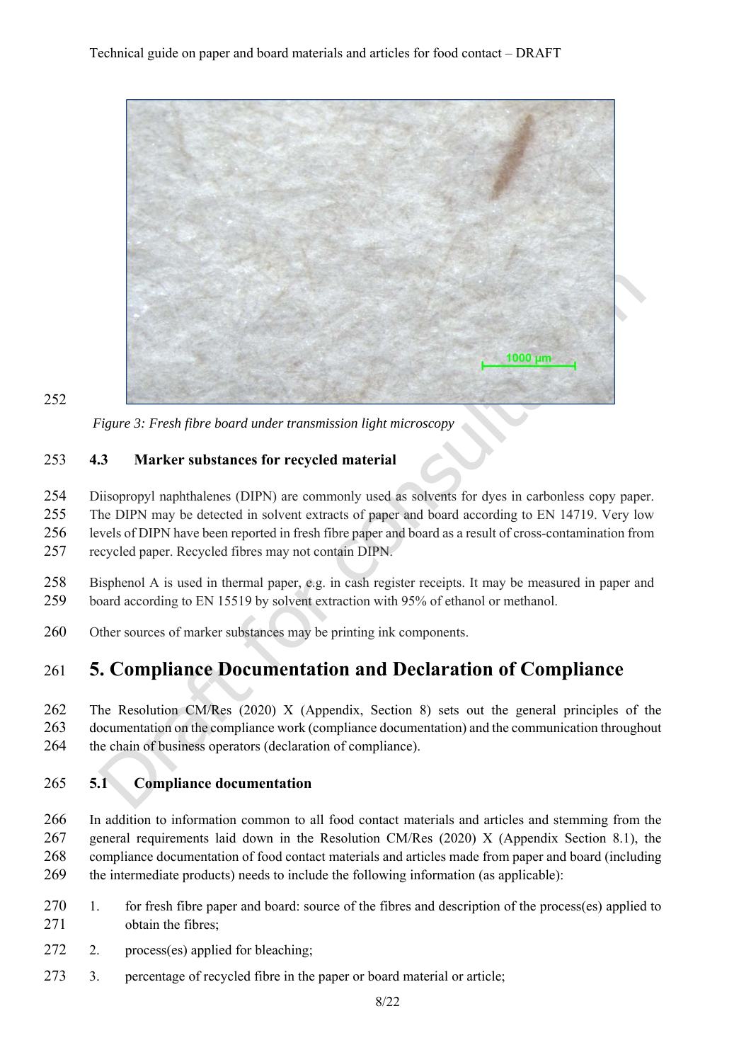

252

*Figure 3: Fresh fibre board under transmission light microscopy*

### 253 **4.3 Marker substances for recycled material**

254 Diisopropyl naphthalenes (DIPN) are commonly used as solvents for dyes in carbonless copy paper.

255 The DIPN may be detected in solvent extracts of paper and board according to EN 14719. Very low 256 levels of DIPN have been reported in fresh fibre paper and board as a result of cross-contamination from

257 recycled paper. Recycled fibres may not contain DIPN.

- 258 Bisphenol A is used in thermal paper, e.g. in cash register receipts. It may be measured in paper and 259 board according to EN 15519 by solvent extraction with 95% of ethanol or methanol.
- 260 Other sources of marker substances may be printing ink components.

## 261 **5. Compliance Documentation and Declaration of Compliance**

262 The Resolution CM/Res (2020) X (Appendix, Section 8) sets out the general principles of the 263 documentation on the compliance work (compliance documentation) and the communication throughout 264 the chain of business operators (declaration of compliance).

## 265 **5.1 Compliance documentation**

266 In addition to information common to all food contact materials and articles and stemming from the 267 general requirements laid down in the Resolution CM/Res (2020) X (Appendix Section 8.1), the 268 compliance documentation of food contact materials and articles made from paper and board (including 269 the intermediate products) needs to include the following information (as applicable):

- 270 1. for fresh fibre paper and board: source of the fibres and description of the process(es) applied to 271 obtain the fibres;
- 272 2. process(es) applied for bleaching;
- 273 3. percentage of recycled fibre in the paper or board material or article;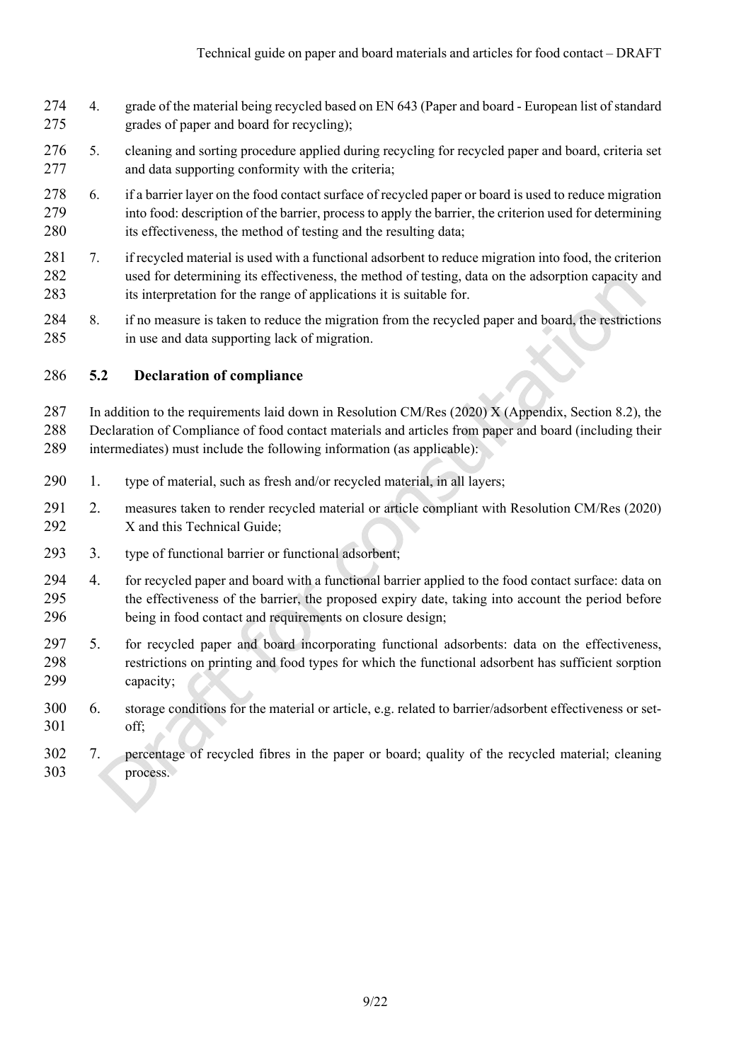- 274 4. grade of the material being recycled based on EN 643 (Paper and board European list of standard 275 grades of paper and board for recycling);
- 276 5. cleaning and sorting procedure applied during recycling for recycled paper and board, criteria set 277 and data supporting conformity with the criteria;
- 278 6. if a barrier layer on the food contact surface of recycled paper or board is used to reduce migration 279 into food: description of the barrier, process to apply the barrier, the criterion used for determining 280 its effectiveness, the method of testing and the resulting data;
- 281 7. if recycled material is used with a functional adsorbent to reduce migration into food, the criterion 282 used for determining its effectiveness, the method of testing, data on the adsorption capacity and 283 its interpretation for the range of applications it is suitable for.
- 284 8. if no measure is taken to reduce the migration from the recycled paper and board, the restrictions 285 in use and data supporting lack of migration.

### 286 **5.2 Declaration of compliance**

287 In addition to the requirements laid down in Resolution CM/Res (2020) X (Appendix, Section 8.2), the 288 Declaration of Compliance of food contact materials and articles from paper and board (including their 289 intermediates) must include the following information (as applicable):

- 290 1. type of material, such as fresh and/or recycled material, in all layers;
- 291 2. measures taken to render recycled material or article compliant with Resolution CM/Res (2020) 292 X and this Technical Guide;
- 293 3. type of functional barrier or functional adsorbent;
- 294 4. for recycled paper and board with a functional barrier applied to the food contact surface: data on 295 the effectiveness of the barrier, the proposed expiry date, taking into account the period before 296 being in food contact and requirements on closure design;
- 297 5. for recycled paper and board incorporating functional adsorbents: data on the effectiveness, 298 restrictions on printing and food types for which the functional adsorbent has sufficient sorption 299 capacity;
- 300 6. storage conditions for the material or article, e.g. related to barrier/adsorbent effectiveness or set-301 off;
- 302 7. percentage of recycled fibres in the paper or board; quality of the recycled material; cleaning 303 process.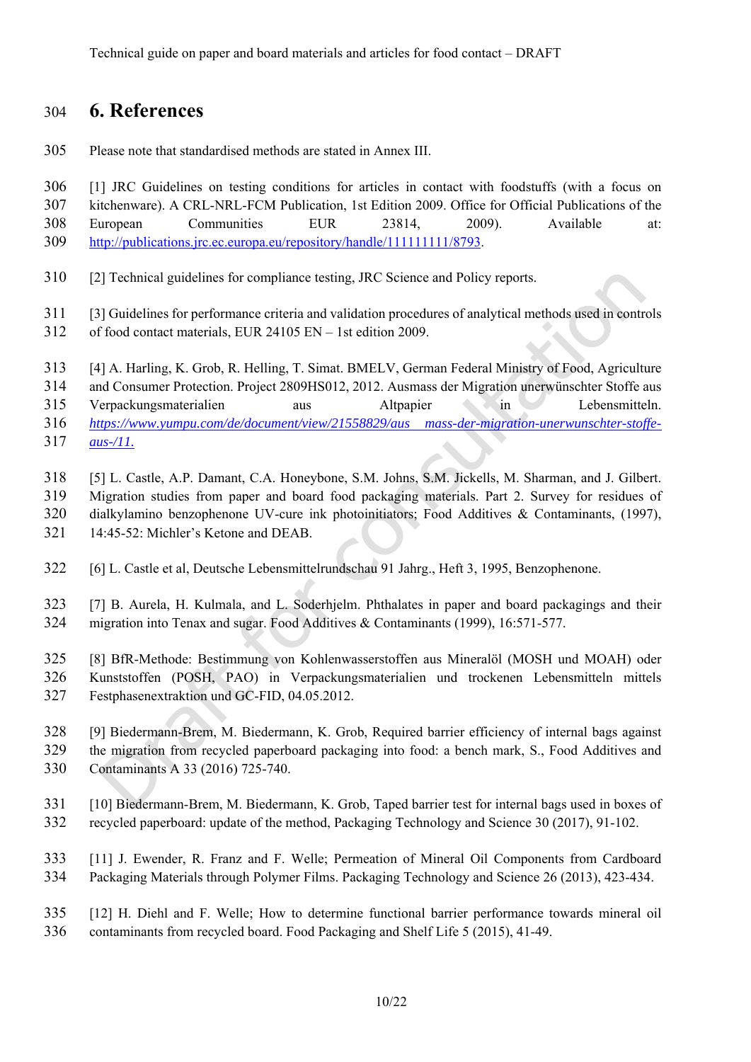## 304 **6. References**

305 Please note that standardised methods are stated in Annex III.

306 [1] JRC Guidelines on testing conditions for articles in contact with foodstuffs (with a focus on 307 kitchenware). A CRL-NRL-FCM Publication, 1st Edition 2009. Office for Official Publications of the 308 European Communities EUR 23814, 2009). Available at: 309 http://publications.jrc.ec.europa.eu/repository/handle/111111111/8793.

- 310 [2] Technical guidelines for compliance testing, JRC Science and Policy reports.
- 311 [3] Guidelines for performance criteria and validation procedures of analytical methods used in controls
- 312 of food contact materials, EUR 24105 EN 1st edition 2009.
- 313 [4] A. Harling, K. Grob, R. Helling, T. Simat. BMELV, German Federal Ministry of Food, Agriculture
- 314 and Consumer Protection. Project 2809HS012, 2012. Ausmass der Migration unerwünschter Stoffe aus
- 315 Verpackungsmaterialien aus Altpapier in Lebensmitteln. 316 *https://www.yumpu.com/de/document/view/21558829/aus mass-der-migration-unerwunschter-stoffe-*317 *aus-/11.*
- 318 [5] L. Castle, A.P. Damant, C.A. Honeybone, S.M. Johns, S.M. Jickells, M. Sharman, and J. Gilbert. 319 Migration studies from paper and board food packaging materials. Part 2. Survey for residues of 320 dialkylamino benzophenone UV-cure ink photoinitiators; Food Additives & Contaminants, (1997), 321 14:45-52: Michler's Ketone and DEAB.
- 322 [6] L. Castle et al, Deutsche Lebensmittelrundschau 91 Jahrg., Heft 3, 1995, Benzophenone.
- 323 [7] B. Aurela, H. Kulmala, and L. Soderhjelm. Phthalates in paper and board packagings and their 324 migration into Tenax and sugar. Food Additives & Contaminants (1999), 16:571-577.
- 325 [8] BfR-Methode: Bestimmung von Kohlenwasserstoffen aus Mineralöl (MOSH und MOAH) oder 326 Kunststoffen (POSH, PAO) in Verpackungsmaterialien und trockenen Lebensmitteln mittels
- 327 Festphasenextraktion und GC-FID, 04.05.2012.
- 328 [9] Biedermann-Brem, M. Biedermann, K. Grob, Required barrier efficiency of internal bags against 329 the migration from recycled paperboard packaging into food: a bench mark, S., Food Additives and 330 Contaminants A 33 (2016) 725-740.
- 331 [10] Biedermann-Brem, M. Biedermann, K. Grob, Taped barrier test for internal bags used in boxes of 332 recycled paperboard: update of the method, Packaging Technology and Science 30 (2017), 91-102.
- 333 [11] J. Ewender, R. Franz and F. Welle; Permeation of Mineral Oil Components from Cardboard 334 Packaging Materials through Polymer Films. Packaging Technology and Science 26 (2013), 423-434.
- 335 [12] H. Diehl and F. Welle; How to determine functional barrier performance towards mineral oil 336 contaminants from recycled board. Food Packaging and Shelf Life 5 (2015), 41-49.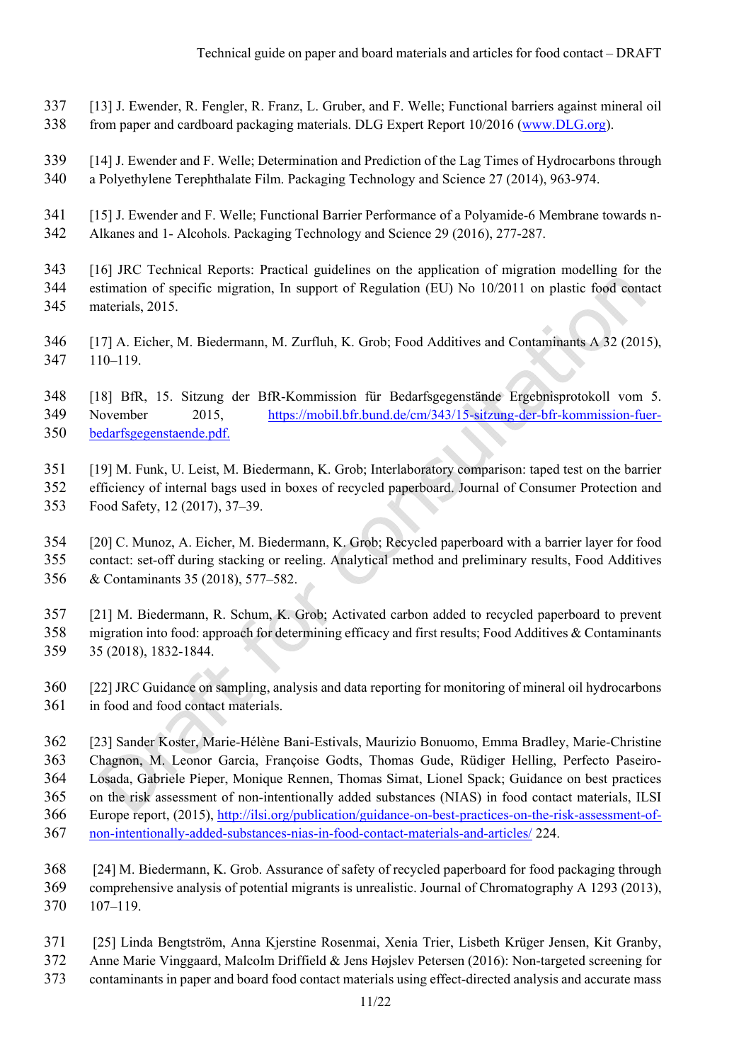- 337 [13] J. Ewender, R. Fengler, R. Franz, L. Gruber, and F. Welle; Functional barriers against mineral oil
- 338 from paper and cardboard packaging materials. DLG Expert Report 10/2016 (www.DLG.org).
- 339 [14] J. Ewender and F. Welle; Determination and Prediction of the Lag Times of Hydrocarbons through 340 a Polyethylene Terephthalate Film. Packaging Technology and Science 27 (2014), 963-974.
- 341 [15] J. Ewender and F. Welle; Functional Barrier Performance of a Polyamide-6 Membrane towards n-
- 342 Alkanes and 1- Alcohols. Packaging Technology and Science 29 (2016), 277-287.
- 343 [16] JRC Technical Reports: Practical guidelines on the application of migration modelling for the 344 estimation of specific migration, In support of Regulation (EU) No 10/2011 on plastic food contact 345 materials, 2015.
- 346 [17] A. Eicher, M. Biedermann, M. Zurfluh, K. Grob; Food Additives and Contaminants A 32 (2015), 347 110–119.
- 348 [18] BfR, 15. Sitzung der BfR-Kommission für Bedarfsgegenstände Ergebnisprotokoll vom 5.
- 349 November 2015, https://mobil.bfr.bund.de/cm/343/15-sitzung-der-bfr-kommission-fuer-350 bedarfsgegenstaende.pdf.
- 351 [19] M. Funk, U. Leist, M. Biedermann, K. Grob; Interlaboratory comparison: taped test on the barrier
- 352 efficiency of internal bags used in boxes of recycled paperboard. Journal of Consumer Protection and
- 353 Food Safety, 12 (2017), 37–39.
- 354 [20] C. Munoz, A. Eicher, M. Biedermann, K. Grob; Recycled paperboard with a barrier layer for food 355 contact: set-off during stacking or reeling. Analytical method and preliminary results, Food Additives 356 & Contaminants 35 (2018), 577–582.
- 357 [21] M. Biedermann, R. Schum, K. Grob; Activated carbon added to recycled paperboard to prevent 358 migration into food: approach for determining efficacy and first results; Food Additives & Contaminants 359 35 (2018), 1832-1844.
- 360 [22] JRC Guidance on sampling, analysis and data reporting for monitoring of mineral oil hydrocarbons 361 in food and food contact materials.
- 362 [23] Sander Koster, Marie-Hélène Bani-Estivals, Maurizio Bonuomo, Emma Bradley, Marie-Christine 363 Chagnon, M. Leonor Garcia, Françoise Godts, Thomas Gude, Rüdiger Helling, Perfecto Paseiro-364 Losada, Gabriele Pieper, Monique Rennen, Thomas Simat, Lionel Spack; Guidance on best practices 365 on the risk assessment of non-intentionally added substances (NIAS) in food contact materials, ILSI 366 Europe report, (2015), http://ilsi.org/publication/guidance-on-best-practices-on-the-risk-assessment-of-367 non-intentionally-added-substances-nias-in-food-contact-materials-and-articles/ 224.
- 368 [24] M. Biedermann, K. Grob. Assurance of safety of recycled paperboard for food packaging through 369 comprehensive analysis of potential migrants is unrealistic. Journal of Chromatography A 1293 (2013), 370 107–119.
- 371 [25] Linda Bengtström, Anna Kjerstine Rosenmai, Xenia Trier, Lisbeth Krüger Jensen, Kit Granby,
- 372 Anne Marie Vinggaard, Malcolm Driffield & Jens Højslev Petersen (2016): Non-targeted screening for
- 373 contaminants in paper and board food contact materials using effect-directed analysis and accurate mass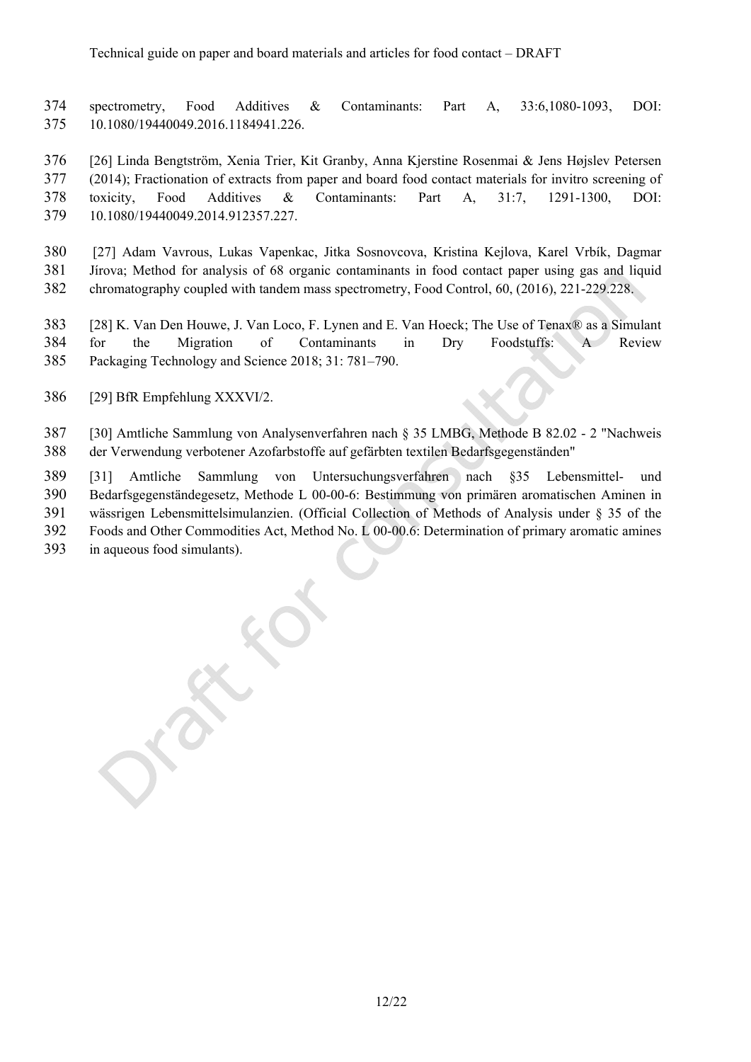374 spectrometry, Food Additives & Contaminants: Part A, 33:6,1080-1093, DOI: 375 10.1080/19440049.2016.1184941.226.

376 [26] Linda Bengtström, Xenia Trier, Kit Granby, Anna Kjerstine Rosenmai & Jens Højslev Petersen 377 (2014); Fractionation of extracts from paper and board food contact materials for invitro screening of 378 toxicity, Food Additives & Contaminants: Part A, 31:7, 1291-1300, DOI: 379 10.1080/19440049.2014.912357.227.

380 [27] Adam Vavrous, Lukas Vapenkac, Jitka Sosnovcova, Kristina Kejlova, Karel Vrbík, Dagmar 381 Jírova; Method for analysis of 68 organic contaminants in food contact paper using gas and liquid 382 chromatography coupled with tandem mass spectrometry, Food Control, 60, (2016), 221-229.228.

383 [28] K. Van Den Houwe, J. Van Loco, F. Lynen and E. Van Hoeck; The Use of Tenax® as a Simulant 384 for the Migration of Contaminants in Dry Foodstuffs: A Review 385 Packaging Technology and Science 2018; 31: 781–790.

386 [29] BfR Empfehlung XXXVI/2.

387 [30] Amtliche Sammlung von Analysenverfahren nach § 35 LMBG, Methode B 82.02 - 2 "Nachweis 388 der Verwendung verbotener Azofarbstoffe auf gefärbten textilen Bedarfsgegenständen"

389 [31] Amtliche Sammlung von Untersuchungsverfahren nach §35 Lebensmittel- und

390 Bedarfsgegenständegesetz, Methode L 00-00-6: Bestimmung von primären aromatischen Aminen in 391 wässrigen Lebensmittelsimulanzien. (Official Collection of Methods of Analysis under § 35 of the

392 Foods and Other Commodities Act, Method No. L 00-00.6: Determination of primary aromatic amines

393 in aqueous food simulants).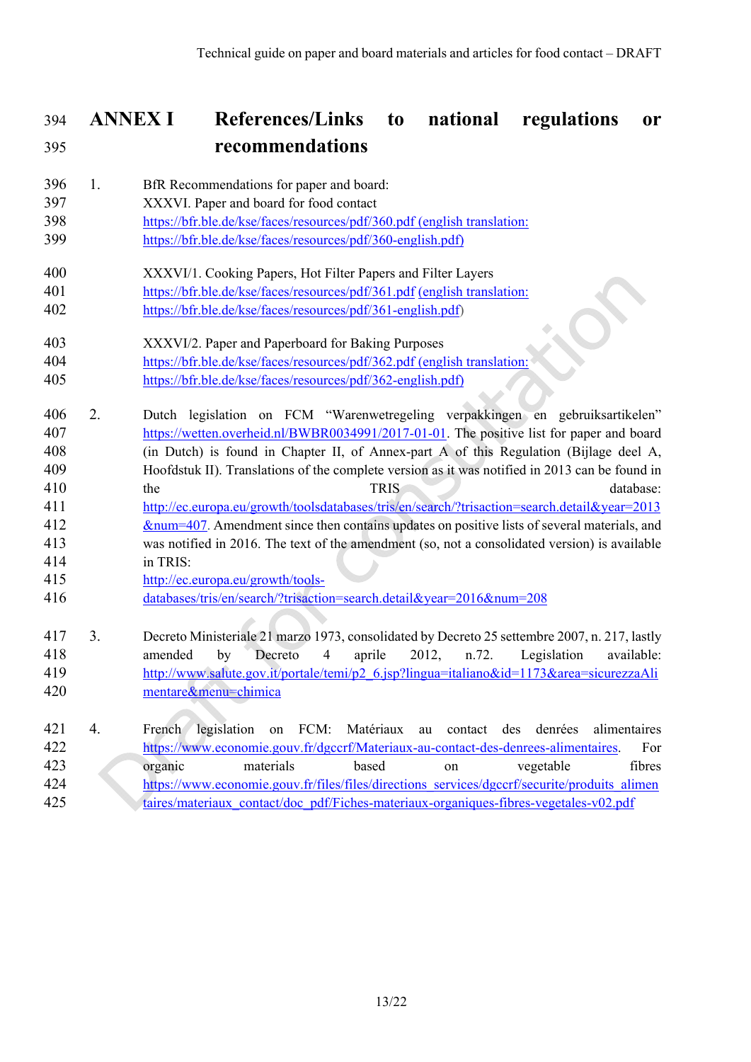## 394 **ANNEX I References/Links to national regulations or**  395 **recommendations**

- 396 1. BfR Recommendations for paper and board:
- 397 XXXVI. Paper and board for food contact
- 398 https://bfr.ble.de/kse/faces/resources/pdf/360.pdf (english translation:
- 399 https://bfr.ble.de/kse/faces/resources/pdf/360-english.pdf)
- 400 XXXVI/1. Cooking Papers, Hot Filter Papers and Filter Layers
- 401 https://bfr.ble.de/kse/faces/resources/pdf/361.pdf (english translation:
- 402 https://bfr.ble.de/kse/faces/resources/pdf/361-english.pdf)
- 403 XXXVI/2. Paper and Paperboard for Baking Purposes 404 https://bfr.ble.de/kse/faces/resources/pdf/362.pdf (english translation:
- 405 https://bfr.ble.de/kse/faces/resources/pdf/362-english.pdf)
- 406 2. Dutch legislation on FCM "Warenwetregeling verpakkingen en gebruiksartikelen" 407 https://wetten.overheid.nl/BWBR0034991/2017-01-01. The positive list for paper and board 408 (in Dutch) is found in Chapter II, of Annex-part A of this Regulation (Bijlage deel A, 409 Hoofdstuk II). Translations of the complete version as it was notified in 2013 can be found in 410 the the TRIS database: 411 http://ec.europa.eu/growth/toolsdatabases/tris/en/search/?trisaction=search.detail&year=2013
- 412 &num=407. Amendment since then contains updates on positive lists of several materials, and 413 was notified in 2016. The text of the amendment (so, not a consolidated version) is available 414 in TRIS:
- 415 http://ec.europa.eu/growth/tools-
- 416 databases/tris/en/search/?trisaction=search.detail&year=2016&num=208
- 417 3. Decreto Ministeriale 21 marzo 1973, consolidated by Decreto 25 settembre 2007, n. 217, lastly 418 amended by Decreto 4 aprile 2012, n.72. Legislation available: 419 http://www.salute.gov.it/portale/temi/p2\_6.jsp?lingua=italiano&id=1173&area=sicurezzaAli 420 mentare&menu=chimica
- 421 4. French legislation on FCM: Matériaux au contact des denrées alimentaires 422 https://www.economie.gouv.fr/dgccrf/Materiaux-au-contact-des-denrees-alimentaires. For 423 organic materials based on vegetable fibres 424 https://www.economie.gouv.fr/files/files/directions\_services/dgccrf/securite/produits\_alimen 425 taires/materiaux\_contact/doc\_pdf/Fiches-materiaux-organiques-fibres-vegetales-v02.pdf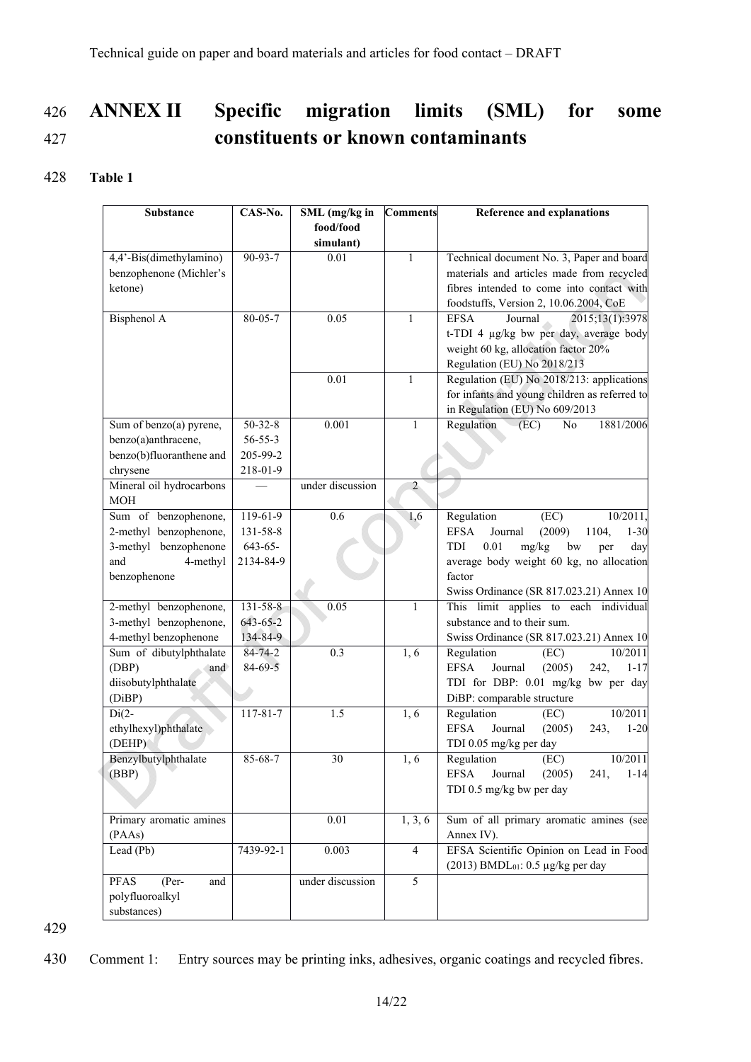# 426 **ANNEX II Specific migration limits (SML) for some**  427 **constituents or known contaminants**

### 428 **Table 1**

| <b>Substance</b>         | CAS-No.        | SML (mg/kg in<br>food/food | <b>Comments</b> | Reference and explanations                            |                                           |
|--------------------------|----------------|----------------------------|-----------------|-------------------------------------------------------|-------------------------------------------|
|                          |                | simulant)                  |                 |                                                       |                                           |
| 4,4'-Bis(dimethylamino)  | 90-93-7        | 0.01                       | $\mathbf{1}$    | Technical document No. 3, Paper and board             |                                           |
| benzophenone (Michler's  |                |                            |                 | materials and articles made from recycled             |                                           |
| ketone)                  |                |                            |                 |                                                       | fibres intended to come into contact with |
|                          |                |                            |                 | foodstuffs, Version 2, 10.06.2004, CoE                |                                           |
| Bisphenol A              | $80 - 05 - 7$  | 0.05                       | $\mathbf{1}$    | <b>EFSA</b><br>Journal<br>2015;13(1):3978             |                                           |
|                          |                |                            |                 | t-TDI 4 µg/kg bw per day, average body                |                                           |
|                          |                |                            |                 | weight 60 kg, allocation factor 20%                   |                                           |
|                          |                |                            |                 | Regulation (EU) No 2018/213                           |                                           |
|                          |                | 0.01                       | $\mathbf{1}$    | Regulation (EU) No 2018/213: applications             |                                           |
|                          |                |                            |                 | for infants and young children as referred to         |                                           |
|                          |                |                            |                 | in Regulation (EU) No 609/2013                        |                                           |
| Sum of benzo(a) pyrene,  | $50 - 32 - 8$  | 0.001                      | 1               | 1881/2006<br>Regulation<br>(EC)<br>No                 |                                           |
| benzo(a)anthracene,      | $56 - 55 - 3$  |                            |                 |                                                       |                                           |
| benzo(b)fluoranthene and | 205-99-2       |                            |                 |                                                       |                                           |
| chrysene                 | 218-01-9       |                            |                 |                                                       |                                           |
| Mineral oil hydrocarbons |                | under discussion           | $\overline{2}$  |                                                       |                                           |
| <b>MOH</b>               |                |                            |                 |                                                       |                                           |
| Sum of benzophenone,     | $119-61-9$     | 0.6                        | 1,6             | Regulation<br>(EC)<br>10/2011.                        |                                           |
| 2-methyl benzophenone,   | 131-58-8       |                            |                 | (2009)<br>1104,<br><b>EFSA</b><br>Journal<br>$1 - 30$ |                                           |
| 3-methyl benzophenone    | $643 - 65 -$   |                            |                 | 0.01<br>mg/kg<br>bw<br>TDI<br>day<br>per              |                                           |
| and<br>4-methyl          | 2134-84-9      |                            |                 | average body weight 60 kg, no allocation              |                                           |
| benzophenone             |                |                            |                 | factor                                                |                                           |
|                          |                |                            |                 | Swiss Ordinance (SR 817.023.21) Annex 10              |                                           |
| 2-methyl benzophenone,   | $131 - 58 - 8$ | 0.05                       | 1               | This limit applies to each individual                 |                                           |
| 3-methyl benzophenone,   | 643-65-2       |                            |                 | substance and to their sum.                           |                                           |
| 4-methyl benzophenone    | 134-84-9       |                            |                 | Swiss Ordinance (SR 817.023.21) Annex 10              |                                           |
| Sum of dibutylphthalate  | $84 - 74 - 2$  | 0.3                        | 1,6             | Regulation<br>(EC)<br>10/2011                         |                                           |
| (DBP)<br>and             | $84 - 69 - 5$  |                            |                 | <b>EFSA</b><br>(2005)<br>242,<br>Journal<br>$1 - 17$  |                                           |
| diisobutylphthalate      |                |                            |                 | TDI for DBP: 0.01 mg/kg bw per day                    |                                           |
| (DiBP)                   |                |                            |                 | DiBP: comparable structure                            |                                           |
| $Di(2-$                  | $117 - 81 - 7$ | 1.5                        | 1, 6            | Regulation<br>10/2011<br>(EC)                         |                                           |
| ethylhexyl)phthalate     |                |                            |                 | <b>EFSA</b><br>Journal<br>(2005)<br>243,<br>$1 - 20$  |                                           |
| (DEHP)                   |                |                            |                 | TDI 0.05 mg/kg per day                                |                                           |
| Benzylbutylphthalate     | 85-68-7        | 30                         | 1, 6            | Regulation<br>(EC)<br>10/2011                         |                                           |
| (BBP)                    |                |                            |                 | EFSA Journal (2005)<br>241,<br>$1 - 14$               |                                           |
|                          |                |                            |                 | TDI 0.5 mg/kg bw per day                              |                                           |
| Primary aromatic amines  |                | $0.01\,$                   | 1, 3, 6         | Sum of all primary aromatic amines (see               |                                           |
| (PAAs)                   |                |                            |                 | Annex IV).                                            |                                           |
| Lead (Pb)                | 7439-92-1      | 0.003                      | $\overline{4}$  | EFSA Scientific Opinion on Lead in Food               |                                           |
|                          |                |                            |                 | $(2013)$ BMDL <sub>01</sub> : 0.5 µg/kg per day       |                                           |
| $(Per-$<br>PFAS<br>and   |                | under discussion           | 5               |                                                       |                                           |
| polyfluoroalkyl          |                |                            |                 |                                                       |                                           |
| substances)              |                |                            |                 |                                                       |                                           |

429

430 Comment 1: Entry sources may be printing inks, adhesives, organic coatings and recycled fibres.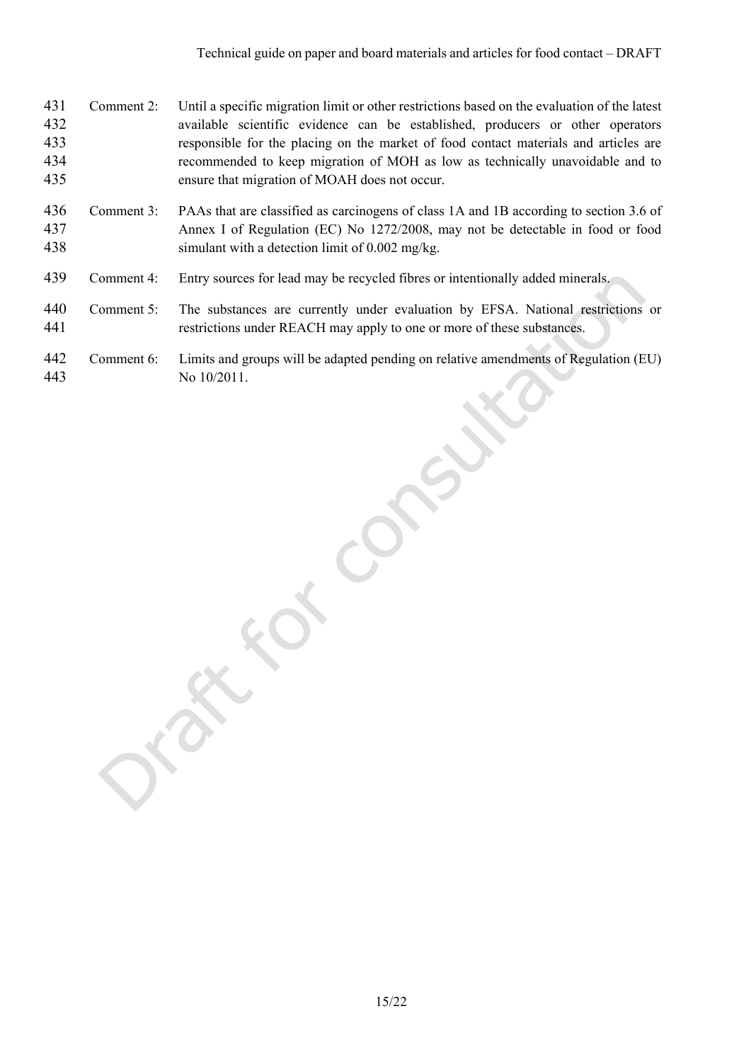- 431 Comment 2: Until a specific migration limit or other restrictions based on the evaluation of the latest 432 available scientific evidence can be established, producers or other operators 433 responsible for the placing on the market of food contact materials and articles are 434 recommended to keep migration of MOH as low as technically unavoidable and to 435 ensure that migration of MOAH does not occur.
- 436 Comment 3: PAAs that are classified as carcinogens of class 1A and 1B according to section 3.6 of 437 Annex I of Regulation (EC) No 1272/2008, may not be detectable in food or food 438 simulant with a detection limit of 0.002 mg/kg.
- 439 Comment 4: Entry sources for lead may be recycled fibres or intentionally added minerals.
- 440 Comment 5: The substances are currently under evaluation by EFSA. National restrictions or 441 restrictions under REACH may apply to one or more of these substances.
- 442 Comment 6: Limits and groups will be adapted pending on relative amendments of Regulation (EU) 443 No 10/2011.

15/22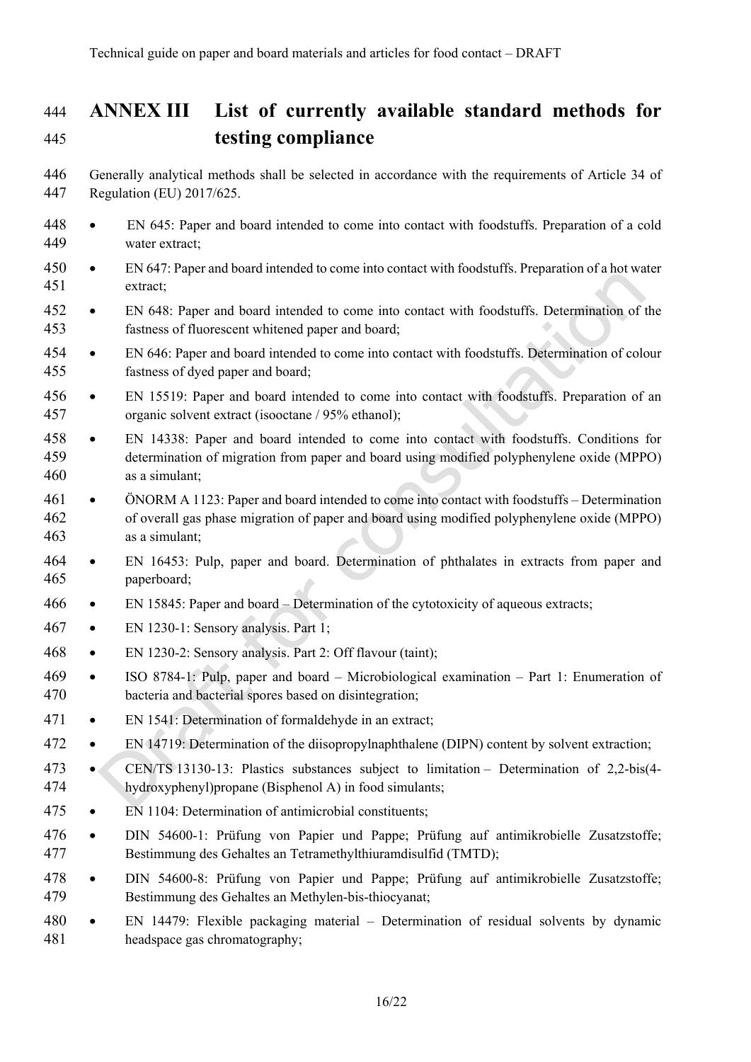# 444 **ANNEX III List of currently available standard methods for**  445 **testing compliance**

- 446 Generally analytical methods shall be selected in accordance with the requirements of Article 34 of 447 Regulation (EU) 2017/625.
- 448 EN 645: Paper and board intended to come into contact with foodstuffs. Preparation of a cold 449 water extract;
- 450 EN 647: Paper and board intended to come into contact with foodstuffs. Preparation of a hot water 451 extract;
- 452 EN 648: Paper and board intended to come into contact with foodstuffs. Determination of the 453 fastness of fluorescent whitened paper and board;
- 454 EN 646: Paper and board intended to come into contact with foodstuffs. Determination of colour 455 fastness of dyed paper and board;
- 456 EN 15519: Paper and board intended to come into contact with foodstuffs. Preparation of an 457 organic solvent extract (isooctane / 95% ethanol);
- 458 EN 14338: Paper and board intended to come into contact with foodstuffs. Conditions for 459 determination of migration from paper and board using modified polyphenylene oxide (MPPO) 460 as a simulant;
- 461 ÖNORM A 1123: Paper and board intended to come into contact with foodstuffs Determination 462 of overall gas phase migration of paper and board using modified polyphenylene oxide (MPPO) 463 as a simulant;
- 464 EN 16453: Pulp, paper and board. Determination of phthalates in extracts from paper and 465 paperboard;
- 466 EN 15845: Paper and board Determination of the cytotoxicity of aqueous extracts;
- 467 EN 1230-1: Sensory analysis. Part 1;
- 468 EN 1230-2: Sensory analysis. Part 2: Off flavour (taint);
- 469 ISO 8784-1: Pulp, paper and board Microbiological examination Part 1: Enumeration of 470 bacteria and bacterial spores based on disintegration;
- 471 EN 1541: Determination of formaldehyde in an extract;
- 472 EN 14719: Determination of the diisopropylnaphthalene (DIPN) content by solvent extraction;
- 473 CEN/TS 13130-13: Plastics substances subject to limitation Determination of 2,2-bis(4- 474 hydroxyphenyl)propane (Bisphenol A) in food simulants;
- 475 EN 1104: Determination of antimicrobial constituents;
- 476 DIN 54600-1: Prüfung von Papier und Pappe; Prüfung auf antimikrobielle Zusatzstoffe; 477 Bestimmung des Gehaltes an Tetramethylthiuramdisulfid (TMTD);
- 478 DIN 54600-8: Prüfung von Papier und Pappe; Prüfung auf antimikrobielle Zusatzstoffe; 479 Bestimmung des Gehaltes an Methylen-bis-thiocyanat;
- 480 EN 14479: Flexible packaging material Determination of residual solvents by dynamic 481 headspace gas chromatography;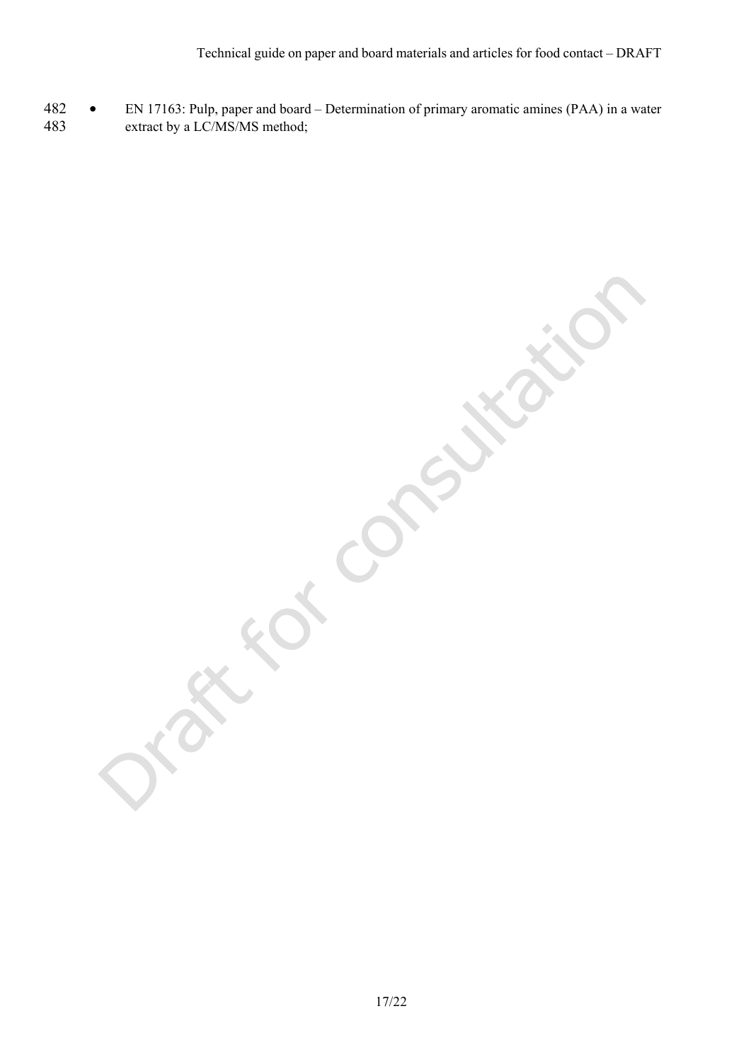482 • EN 17163: Pulp, paper and board – Determination of primary aromatic amines (PAA) in a water extract by a LC/MS/MS method;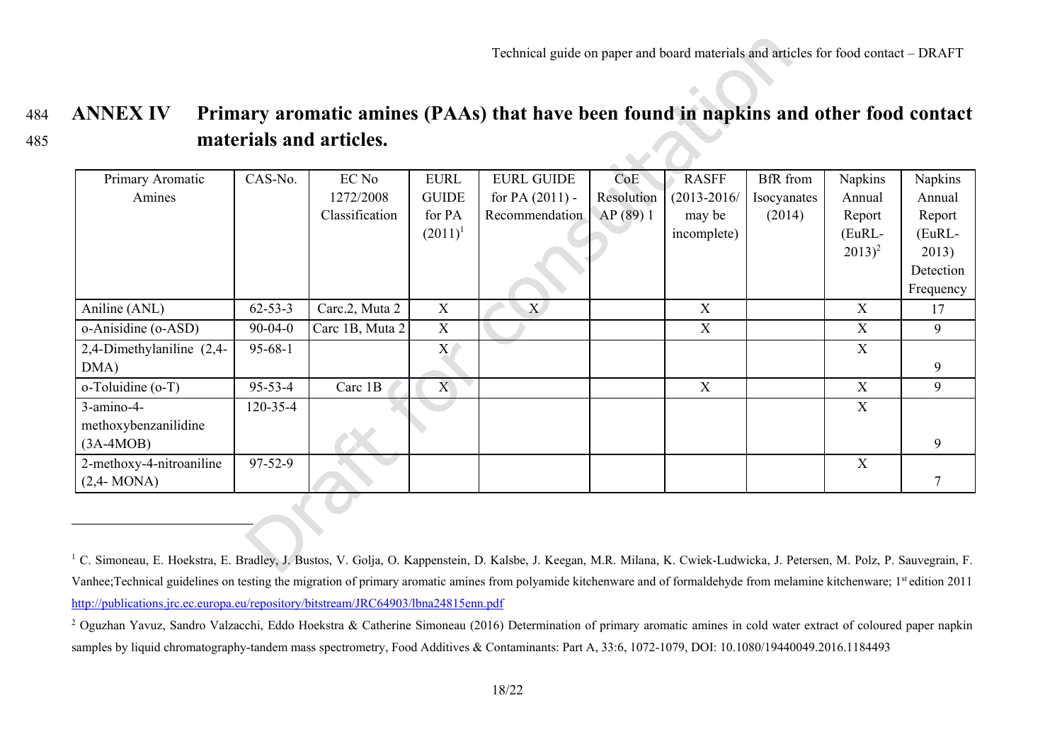#### 484 **ANNEX IV Primary aromatic amines (PAAs) that have been found in napkins and other food contact**  485 **materials and articles.**

| Primary Aromatic          | CAS-No.        | EC No           | <b>EURL</b>  | <b>EURL GUIDE</b> | CoE        | <b>RASFF</b>    | <b>BfR</b> from | Napkins     | Napkins   |
|---------------------------|----------------|-----------------|--------------|-------------------|------------|-----------------|-----------------|-------------|-----------|
| Amines                    |                | 1272/2008       | <b>GUIDE</b> | for PA $(2011)$ - | Resolution | $(2013 - 2016)$ | Isocyanates     | Annual      | Annual    |
|                           |                | Classification  | for PA       | Recommendation    | AP(89)1    | may be          | (2014)          | Report      | Report    |
|                           |                |                 | $(2011)^1$   |                   |            | incomplete)     |                 | (EuRL-      | (EuRL-    |
|                           |                |                 |              |                   |            |                 |                 | $2013)^2$   | 2013)     |
|                           |                |                 |              |                   |            |                 |                 |             | Detection |
|                           |                |                 |              |                   |            |                 |                 |             | Frequency |
| Aniline (ANL)             | $62 - 53 - 3$  | Carc.2, Muta 2  | X            | $X^{\dagger}$     |            | X               |                 | X           | 17        |
| o-Anisidine (o-ASD)       | $90 - 04 - 0$  | Carc 1B, Muta 2 | X            |                   |            | X               |                 | X           | 9         |
| 2,4-Dimethylaniline (2,4- | $95 - 68 - 1$  |                 | X            |                   |            |                 |                 | X           |           |
| DMA)                      |                |                 |              |                   |            |                 |                 |             | 9         |
| o-Toluidine (o-T)         | $95 - 53 - 4$  | Carc 1B         | X            |                   |            | X               |                 | X           | 9         |
| 3-amino-4-                | $120 - 35 - 4$ |                 |              |                   |            |                 |                 | $\mathbf X$ |           |
| methoxybenzanilidine      |                |                 |              |                   |            |                 |                 |             |           |
| $(3A-4MOB)$               |                |                 |              |                   |            |                 |                 |             | 9         |
| 2-methoxy-4-nitroaniline  | $97 - 52 - 9$  |                 |              |                   |            |                 |                 | X           |           |
| $(2,4-MONA)$              |                |                 |              |                   |            |                 |                 |             |           |

<sup>&</sup>lt;sup>1</sup> C. Simoneau, E. Hoekstra, E. Bradley, J. Bustos, V. Golja, O. Kappenstein, D. Kalsbe, J. Keegan, M.R. Milana, K. Cwiek-Ludwicka, J. Petersen, M. Polz, P. Sauvegrain, F. Vanhee;Technical guidelines on testing the migration of primary aromatic amines from polyamide kitchenware and of formaldehyde from melamine kitchenware; 1<sup>st</sup> edition 2011 http://publications.jrc.ec.europa.eu/repository/bitstream/JRC64903/lbna24815enn.pdf

<sup>&</sup>lt;sup>2</sup> Oguzhan Yavuz, Sandro Valzacchi, Eddo Hoekstra & Catherine Simoneau (2016) Determination of primary aromatic amines in cold water extract of coloured paper napkin samples by liquid chromatography-tandem mass spectrometry, Food Additives & Contaminants: Part A, 33:6, 1072-1079, DOI: 10.1080/19440049.2016.1184493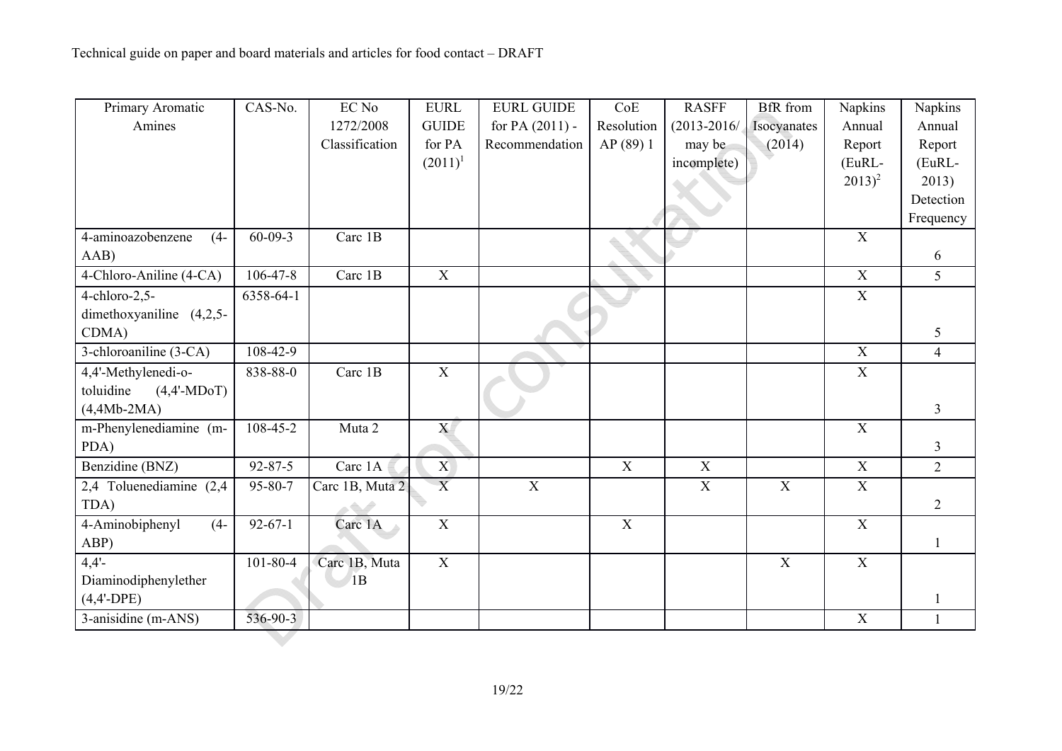| Primary Aromatic           | CAS-No.        | EC No           | <b>EURL</b>    | <b>EURL GUIDE</b> | CoE            | <b>RASFF</b>    | <b>BfR</b> from | Napkins        | Napkins        |
|----------------------------|----------------|-----------------|----------------|-------------------|----------------|-----------------|-----------------|----------------|----------------|
| Amines                     |                | 1272/2008       | <b>GUIDE</b>   | for PA $(2011)$ - | Resolution     | $(2013 - 2016)$ | Isocyanates     | Annual         | Annual         |
|                            |                | Classification  | for PA         | Recommendation    | AP (89) 1      | may be          | (2014)          | Report         | Report         |
|                            |                |                 | $(2011)^1$     |                   |                | incomplete)     |                 | (EuRL-         | (EuRL-         |
|                            |                |                 |                |                   |                |                 |                 | $2013)^2$      | 2013)          |
|                            |                |                 |                |                   |                |                 |                 |                | Detection      |
|                            |                |                 |                |                   |                |                 |                 |                | Frequency      |
| 4-aminoazobenzene<br>$(4-$ | $60 - 09 - 3$  | Carc 1B         |                |                   |                |                 |                 | $\overline{X}$ |                |
| AAB)                       |                |                 |                |                   |                |                 |                 |                | 6              |
| 4-Chloro-Aniline (4-CA)    | $106 - 47 - 8$ | Carc 1B         | $\mathbf X$    |                   |                |                 |                 | $\mathbf X$    | 5              |
| $4$ -chloro-2,5-           | 6358-64-1      |                 |                |                   |                |                 |                 | $\overline{X}$ |                |
| dimethoxyaniline (4,2,5-   |                |                 |                |                   |                |                 |                 |                |                |
| CDMA)                      |                |                 |                |                   |                |                 |                 |                | 5              |
| 3-chloroaniline (3-CA)     | 108-42-9       |                 |                |                   |                |                 |                 | $\overline{X}$ | $\overline{4}$ |
| 4,4'-Methylenedi-o-        | 838-88-0       | Carc 1B         | $\mathbf X$    |                   |                |                 |                 | $\mathbf X$    |                |
| toluidine<br>$(4,4'-MDoT)$ |                |                 |                |                   |                |                 |                 |                |                |
| $(4,4Mb-2MA)$              |                |                 |                |                   |                |                 |                 |                | 3              |
| m-Phenylenediamine (m-     | 108-45-2       | Muta 2          | X              |                   |                |                 |                 | $\mathbf X$    |                |
| PDA)                       |                |                 |                |                   |                |                 |                 |                | $\overline{3}$ |
| Benzidine (BNZ)            | $92 - 87 - 5$  | Carc 1A         | $\overline{X}$ |                   | $\mathbf X$    | $\mathbf X$     |                 | $\mathbf X$    | $\overline{2}$ |
| 2,4 Toluenediamine (2,4)   | 95-80-7        | Carc 1B, Muta 2 | $\overline{X}$ | $\overline{X}$    |                | $\mathbf X$     | $\overline{X}$  | $\mathbf X$    |                |
| TDA)                       |                | a Sault         |                |                   |                |                 |                 |                | $\overline{2}$ |
| 4-Aminobiphenyl<br>$(4-$   | $92 - 67 - 1$  | Carc 1A         | $\mathbf X$    |                   | $\overline{X}$ |                 |                 | $\overline{X}$ |                |
| ABP)                       |                |                 |                |                   |                |                 |                 |                | $\mathbf{1}$   |
| $4,4'$ -                   | $101 - 80 - 4$ | Carc 1B, Muta   | $\overline{X}$ |                   |                |                 | $\overline{X}$  | $\overline{X}$ |                |
| Diaminodiphenylether       |                | 1B              |                |                   |                |                 |                 |                |                |
| $(4,4'-DPE)$               |                |                 |                |                   |                |                 |                 |                |                |
| 3-anisidine (m-ANS)        | 536-90-3       |                 |                |                   |                |                 |                 | $\mathbf X$    | $\mathbf{1}$   |
|                            |                |                 |                |                   |                |                 |                 |                |                |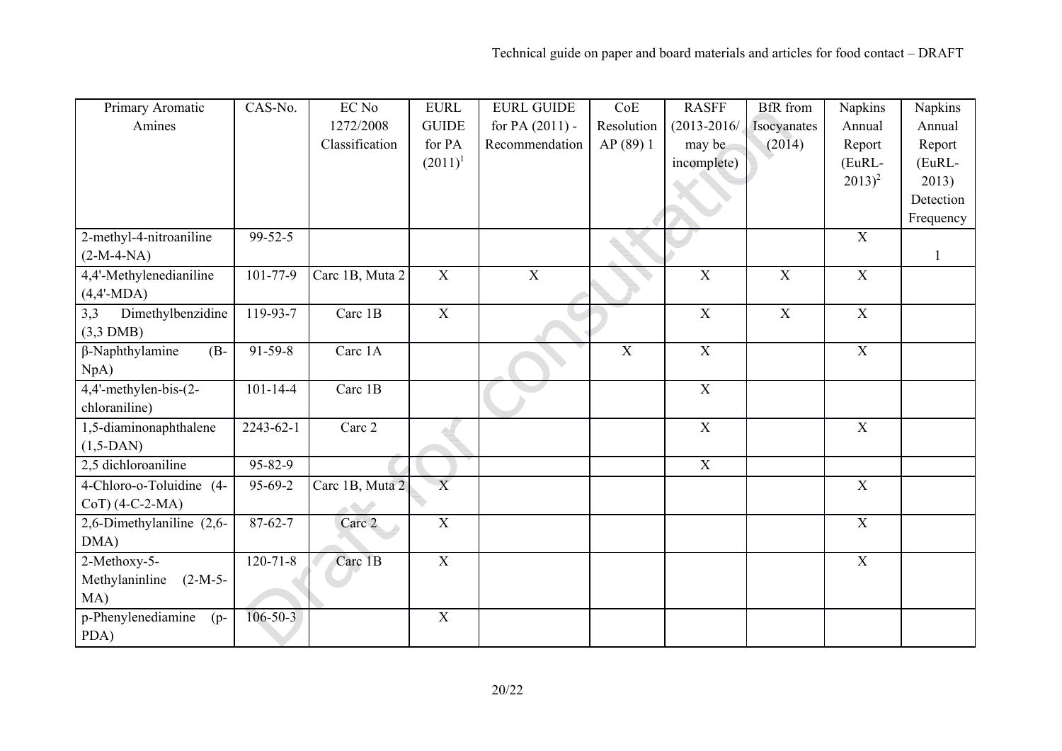| Primary Aromatic                 | CAS-No.         | EC No           | <b>EURL</b>    | <b>EURL GUIDE</b> | CoE            | <b>RASFF</b>    | <b>BfR</b> from | Napkins        | Napkins      |
|----------------------------------|-----------------|-----------------|----------------|-------------------|----------------|-----------------|-----------------|----------------|--------------|
| Amines                           |                 | 1272/2008       | <b>GUIDE</b>   | for PA $(2011)$ - | Resolution     | $(2013 - 2016)$ | Isocyanates     | Annual         | Annual       |
|                                  |                 | Classification  | for PA         | Recommendation    | AP (89) 1      | may be          | (2014)          | Report         | Report       |
|                                  |                 |                 | $(2011)^1$     |                   |                | incomplete)     |                 | (EuRL-         | (EuRL-       |
|                                  |                 |                 |                |                   |                |                 |                 | $2013)^2$      | 2013)        |
|                                  |                 |                 |                |                   |                |                 |                 |                | Detection    |
|                                  |                 |                 |                |                   |                |                 |                 |                | Frequency    |
| 2-methyl-4-nitroaniline          | $99 - 52 - 5$   |                 |                |                   |                |                 |                 | $\mathbf X$    |              |
| $(2-M-4-NA)$                     |                 |                 |                |                   |                |                 |                 |                | $\mathbf{1}$ |
| 4,4'-Methylenedianiline          | $101 - 77 - 9$  | Carc 1B, Muta 2 | $\mathbf X$    | $\overline{X}$    |                | $\mathbf X$     | $\mathbf X$     | $\mathbf X$    |              |
| $(4,4'-MDA)$                     |                 |                 |                |                   |                |                 |                 |                |              |
| Dimethylbenzidine<br>3,3         | 119-93-7        | Carc 1B         | $\mathbf X$    |                   |                | $\mathbf X$     | $\mathbf X$     | $\mathbf X$    |              |
| $(3,3)$ DMB)                     |                 |                 |                |                   |                |                 |                 |                |              |
| $\beta$ -Naphthylamine<br>$(B -$ | $91 - 59 - 8$   | Carc 1A         |                |                   | $\overline{X}$ | $\overline{X}$  |                 | $\overline{X}$ |              |
| NpA)                             |                 |                 |                |                   |                |                 |                 |                |              |
| 4,4'-methylen-bis-(2-            | $101 - 14 - 4$  | Carc 1B         |                |                   |                | $\overline{X}$  |                 |                |              |
| chloraniline)                    |                 |                 |                |                   |                |                 |                 |                |              |
| 1,5-diaminonaphthalene           | $2243 - 62 - 1$ | Carc 2          |                |                   |                | $\mathbf X$     |                 | X              |              |
| $(1,5-DAN)$                      |                 |                 |                |                   |                |                 |                 |                |              |
| 2,5 dichloroaniline              | $95 - 82 - 9$   |                 |                |                   |                | $\overline{X}$  |                 |                |              |
| 4-Chloro-o-Toluidine (4-         | 95-69-2         | Carc 1B, Muta 2 | $\overline{X}$ |                   |                |                 |                 | $\overline{X}$ |              |
| $CoT$ ) (4-C-2-MA)               |                 | a Gali          |                |                   |                |                 |                 |                |              |
| 2,6-Dimethylaniline (2,6-        | $87 - 62 - 7$   | Carc 2          | $\mathbf X$    |                   |                |                 |                 | $\overline{X}$ |              |
| DMA)                             |                 |                 |                |                   |                |                 |                 |                |              |
| 2-Methoxy-5-                     | $120 - 71 - 8$  | Carc 1B         | $\mathbf X$    |                   |                |                 |                 | $\mathbf X$    |              |
| Methylaninline<br>$(2-M-5-$      |                 |                 |                |                   |                |                 |                 |                |              |
| MA)                              |                 |                 |                |                   |                |                 |                 |                |              |
| p-Phenylenediamine<br>$(p-$      | $106 - 50 - 3$  |                 | $\mathbf X$    |                   |                |                 |                 |                |              |
| PDA)                             |                 |                 |                |                   |                |                 |                 |                |              |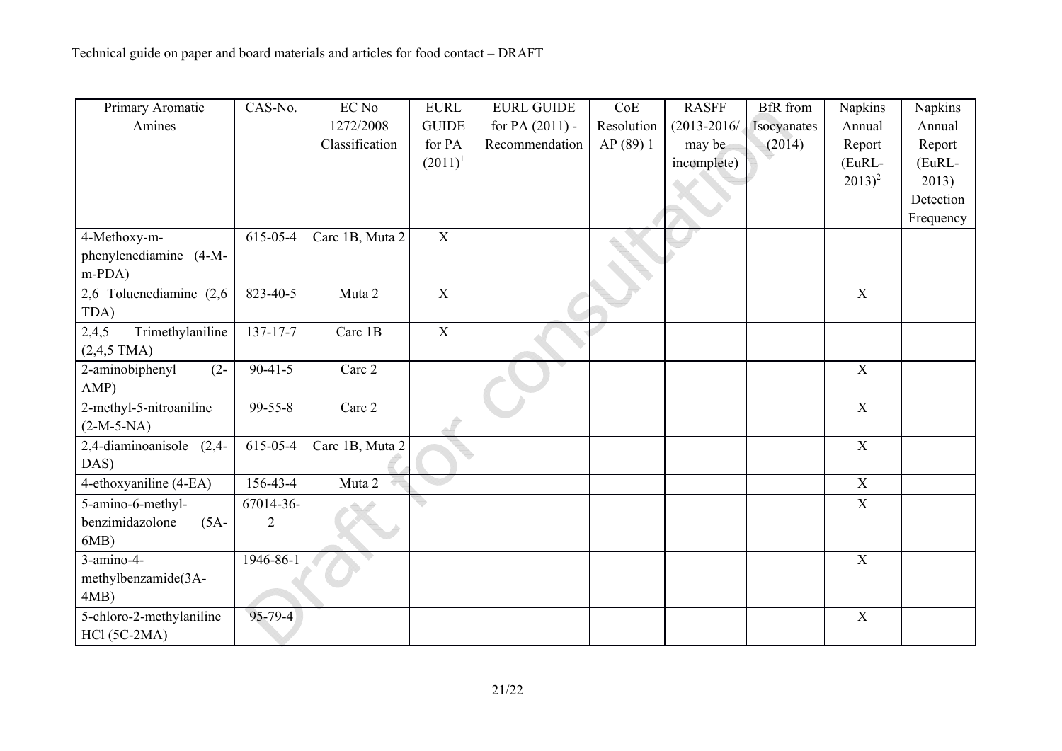| Primary Aromatic              | CAS-No.        | EC No           | <b>EURL</b>    | <b>EURL GUIDE</b> | CoE        | <b>RASFF</b>    | <b>BfR</b> from | Napkins        | Napkins   |
|-------------------------------|----------------|-----------------|----------------|-------------------|------------|-----------------|-----------------|----------------|-----------|
| Amines                        |                | 1272/2008       | <b>GUIDE</b>   | for PA $(2011)$ - | Resolution | $(2013 - 2016)$ | Isocyanates     | Annual         | Annual    |
|                               |                | Classification  | for PA         | Recommendation    | AP(89)1    | may be          | (2014)          | Report         | Report    |
|                               |                |                 | $(2011)^1$     |                   |            | incomplete)     |                 | (EuRL-         | (EuRL-    |
|                               |                |                 |                |                   |            |                 |                 | $(2013)^2$     | 2013)     |
|                               |                |                 |                |                   |            |                 |                 |                | Detection |
|                               |                |                 |                |                   |            |                 |                 |                | Frequency |
| 4-Methoxy-m-                  | 615-05-4       | Carc 1B, Muta 2 | $\overline{X}$ |                   |            |                 |                 |                |           |
| phenylenediamine (4-M-        |                |                 |                |                   |            |                 |                 |                |           |
| $m-PDA)$                      |                |                 |                |                   |            |                 |                 |                |           |
| 2,6 Toluenediamine (2,6)      | 823-40-5       | Muta 2          | $\overline{X}$ |                   |            |                 |                 | $\overline{X}$ |           |
| TDA)                          |                |                 |                |                   |            |                 |                 |                |           |
| Trimethylaniline<br>2,4,5     | $137 - 17 - 7$ | Carc 1B         | $\mathbf X$    |                   |            |                 |                 |                |           |
| $(2,4,5$ TMA)                 |                |                 |                |                   |            |                 |                 |                |           |
| $(2 -$<br>2-aminobiphenyl     | $90 - 41 - 5$  | Carc 2          |                |                   |            |                 |                 | $\overline{X}$ |           |
| AMP)                          |                |                 |                |                   |            |                 |                 |                |           |
| 2-methyl-5-nitroaniline       | $99 - 55 - 8$  | Carc 2          |                |                   |            |                 |                 | $\overline{X}$ |           |
| $(2-M-5-NA)$                  |                |                 |                |                   |            |                 |                 |                |           |
| $2,4$ -diaminoanisole $(2,4-$ | 615-05-4       | Carc 1B, Muta 2 |                |                   |            |                 |                 | X              |           |
| DAS)                          |                |                 |                |                   |            |                 |                 |                |           |
| 4-ethoxyaniline (4-EA)        | 156-43-4       | Muta 2          |                |                   |            |                 |                 | $\overline{X}$ |           |
| 5-amino-6-methyl-             | 67014-36-      |                 |                |                   |            |                 |                 | X              |           |
| benzimidazolone<br>$(5A -$    | $\overline{2}$ |                 |                |                   |            |                 |                 |                |           |
| 6MB)                          |                |                 |                |                   |            |                 |                 |                |           |
| 3-amino-4-                    | 1946-86-1      |                 |                |                   |            |                 |                 | X              |           |
| methylbenzamide(3A-           |                |                 |                |                   |            |                 |                 |                |           |
| $4MB$ )                       |                |                 |                |                   |            |                 |                 |                |           |
| 5-chloro-2-methylaniline      | $95 - 79 - 4$  |                 |                |                   |            |                 |                 | $\mathbf X$    |           |
| $HC1 (5C-2MA)$                |                |                 |                |                   |            |                 |                 |                |           |